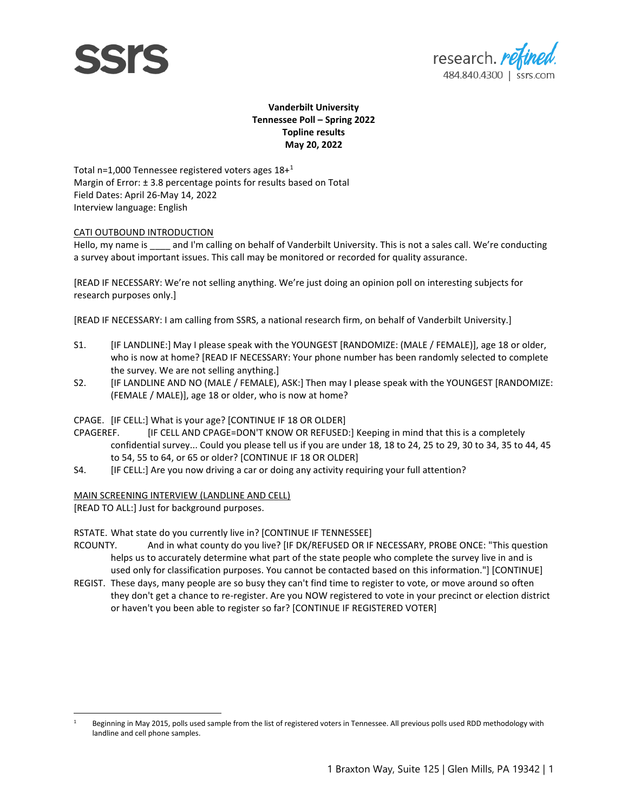



#### **Vanderbilt University Tennessee Poll – Spring 2022 Topline results May 20, 2022**

Total n=1,000 Tennessee registered voters ages  $18+1$ Margin of Error: ± 3.8 percentage points for results based on Total Field Dates: April 26-May 14, 2022 Interview language: English

#### CATI OUTBOUND INTRODUCTION

Hello, my name is and I'm calling on behalf of Vanderbilt University. This is not a sales call. We're conducting a survey about important issues. This call may be monitored or recorded for quality assurance.

[READ IF NECESSARY: We're not selling anything. We're just doing an opinion poll on interesting subjects for research purposes only.]

[READ IF NECESSARY: I am calling from SSRS, a national research firm, on behalf of Vanderbilt University.]

- S1. [IF LANDLINE:] May I please speak with the YOUNGEST [RANDOMIZE: (MALE / FEMALE)], age 18 or older, who is now at home? [READ IF NECESSARY: Your phone number has been randomly selected to complete the survey. We are not selling anything.]
- S2. [IF LANDLINE AND NO (MALE / FEMALE), ASK:] Then may I please speak with the YOUNGEST [RANDOMIZE: (FEMALE / MALE)], age 18 or older, who is now at home?

#### CPAGE. [IF CELL:] What is your age? [CONTINUE IF 18 OR OLDER]

- CPAGEREF. [IF CELL AND CPAGE=DON'T KNOW OR REFUSED:] Keeping in mind that this is a completely confidential survey... Could you please tell us if you are under 18, 18 to 24, 25 to 29, 30 to 34, 35 to 44, 45 to 54, 55 to 64, or 65 or older? [CONTINUE IF 18 OR OLDER]
- S4. **[IF CELL:**] Are you now driving a car or doing any activity requiring your full attention?

#### MAIN SCREENING INTERVIEW (LANDLINE AND CELL)

[READ TO ALL:] Just for background purposes.

#### RSTATE. What state do you currently live in? [CONTINUE IF TENNESSEE]

- RCOUNTY. And in what county do you live? [IF DK/REFUSED OR IF NECESSARY, PROBE ONCE: "This question helps us to accurately determine what part of the state people who complete the survey live in and is used only for classification purposes. You cannot be contacted based on this information."] [CONTINUE]
- REGIST. These days, many people are so busy they can't find time to register to vote, or move around so often they don't get a chance to re-register. Are you NOW registered to vote in your precinct or election district or haven't you been able to register so far? [CONTINUE IF REGISTERED VOTER]

<sup>1</sup> Beginning in May 2015, polls used sample from the list of registered voters in Tennessee. All previous polls used RDD methodology with landline and cell phone samples.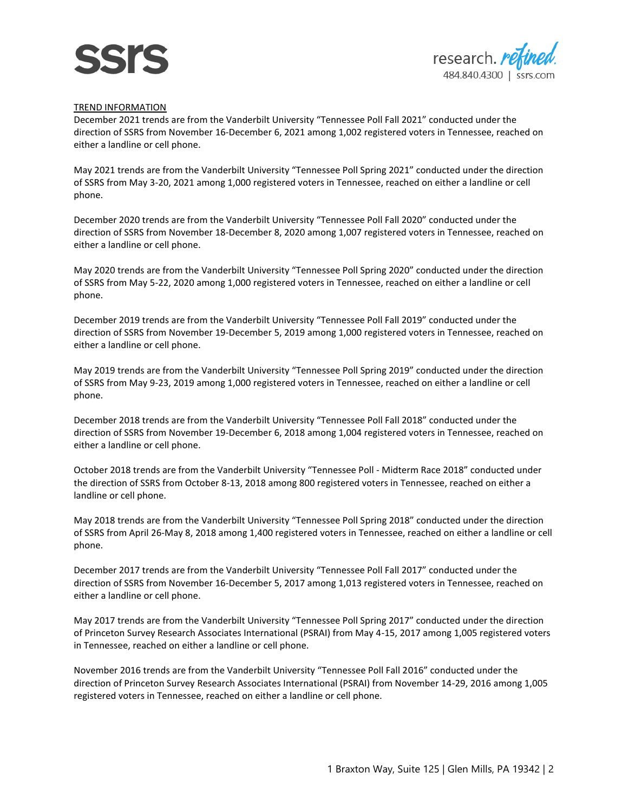



#### TREND INFORMATION

December 2021 trends are from the Vanderbilt University "Tennessee Poll Fall 2021" conducted under the direction of SSRS from November 16-December 6, 2021 among 1,002 registered voters in Tennessee, reached on either a landline or cell phone.

May 2021 trends are from the Vanderbilt University "Tennessee Poll Spring 2021" conducted under the direction of SSRS from May 3-20, 2021 among 1,000 registered voters in Tennessee, reached on either a landline or cell phone.

December 2020 trends are from the Vanderbilt University "Tennessee Poll Fall 2020" conducted under the direction of SSRS from November 18-December 8, 2020 among 1,007 registered voters in Tennessee, reached on either a landline or cell phone.

May 2020 trends are from the Vanderbilt University "Tennessee Poll Spring 2020" conducted under the direction of SSRS from May 5-22, 2020 among 1,000 registered voters in Tennessee, reached on either a landline or cell phone.

December 2019 trends are from the Vanderbilt University "Tennessee Poll Fall 2019" conducted under the direction of SSRS from November 19-December 5, 2019 among 1,000 registered voters in Tennessee, reached on either a landline or cell phone.

May 2019 trends are from the Vanderbilt University "Tennessee Poll Spring 2019" conducted under the direction of SSRS from May 9-23, 2019 among 1,000 registered voters in Tennessee, reached on either a landline or cell phone.

December 2018 trends are from the Vanderbilt University "Tennessee Poll Fall 2018" conducted under the direction of SSRS from November 19-December 6, 2018 among 1,004 registered voters in Tennessee, reached on either a landline or cell phone.

October 2018 trends are from the Vanderbilt University "Tennessee Poll - Midterm Race 2018" conducted under the direction of SSRS from October 8-13, 2018 among 800 registered voters in Tennessee, reached on either a landline or cell phone.

May 2018 trends are from the Vanderbilt University "Tennessee Poll Spring 2018" conducted under the direction of SSRS from April 26-May 8, 2018 among 1,400 registered voters in Tennessee, reached on either a landline or cell phone.

December 2017 trends are from the Vanderbilt University "Tennessee Poll Fall 2017" conducted under the direction of SSRS from November 16-December 5, 2017 among 1,013 registered voters in Tennessee, reached on either a landline or cell phone.

May 2017 trends are from the Vanderbilt University "Tennessee Poll Spring 2017" conducted under the direction of Princeton Survey Research Associates International (PSRAI) from May 4-15, 2017 among 1,005 registered voters in Tennessee, reached on either a landline or cell phone.

November 2016 trends are from the Vanderbilt University "Tennessee Poll Fall 2016" conducted under the direction of Princeton Survey Research Associates International (PSRAI) from November 14-29, 2016 among 1,005 registered voters in Tennessee, reached on either a landline or cell phone.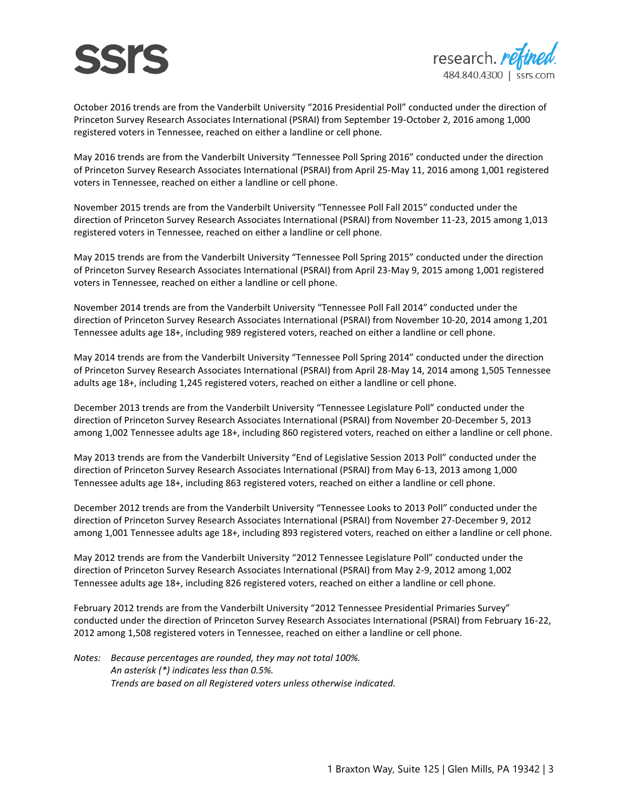

October 2016 trends are from the Vanderbilt University "2016 Presidential Poll" conducted under the direction of Princeton Survey Research Associates International (PSRAI) from September 19-October 2, 2016 among 1,000 registered voters in Tennessee, reached on either a landline or cell phone.

May 2016 trends are from the Vanderbilt University "Tennessee Poll Spring 2016" conducted under the direction of Princeton Survey Research Associates International (PSRAI) from April 25-May 11, 2016 among 1,001 registered voters in Tennessee, reached on either a landline or cell phone.

November 2015 trends are from the Vanderbilt University "Tennessee Poll Fall 2015" conducted under the direction of Princeton Survey Research Associates International (PSRAI) from November 11-23, 2015 among 1,013 registered voters in Tennessee, reached on either a landline or cell phone.

May 2015 trends are from the Vanderbilt University "Tennessee Poll Spring 2015" conducted under the direction of Princeton Survey Research Associates International (PSRAI) from April 23-May 9, 2015 among 1,001 registered voters in Tennessee, reached on either a landline or cell phone.

November 2014 trends are from the Vanderbilt University "Tennessee Poll Fall 2014" conducted under the direction of Princeton Survey Research Associates International (PSRAI) from November 10-20, 2014 among 1,201 Tennessee adults age 18+, including 989 registered voters, reached on either a landline or cell phone.

May 2014 trends are from the Vanderbilt University "Tennessee Poll Spring 2014" conducted under the direction of Princeton Survey Research Associates International (PSRAI) from April 28-May 14, 2014 among 1,505 Tennessee adults age 18+, including 1,245 registered voters, reached on either a landline or cell phone.

December 2013 trends are from the Vanderbilt University "Tennessee Legislature Poll" conducted under the direction of Princeton Survey Research Associates International (PSRAI) from November 20-December 5, 2013 among 1,002 Tennessee adults age 18+, including 860 registered voters, reached on either a landline or cell phone.

May 2013 trends are from the Vanderbilt University "End of Legislative Session 2013 Poll" conducted under the direction of Princeton Survey Research Associates International (PSRAI) from May 6-13, 2013 among 1,000 Tennessee adults age 18+, including 863 registered voters, reached on either a landline or cell phone.

December 2012 trends are from the Vanderbilt University "Tennessee Looks to 2013 Poll" conducted under the direction of Princeton Survey Research Associates International (PSRAI) from November 27-December 9, 2012 among 1,001 Tennessee adults age 18+, including 893 registered voters, reached on either a landline or cell phone.

May 2012 trends are from the Vanderbilt University "2012 Tennessee Legislature Poll" conducted under the direction of Princeton Survey Research Associates International (PSRAI) from May 2-9, 2012 among 1,002 Tennessee adults age 18+, including 826 registered voters, reached on either a landline or cell phone.

February 2012 trends are from the Vanderbilt University "2012 Tennessee Presidential Primaries Survey" conducted under the direction of Princeton Survey Research Associates International (PSRAI) from February 16-22, 2012 among 1,508 registered voters in Tennessee, reached on either a landline or cell phone.

*Notes: Because percentages are rounded, they may not total 100%. An asterisk (\*) indicates less than 0.5%. Trends are based on all Registered voters unless otherwise indicated.*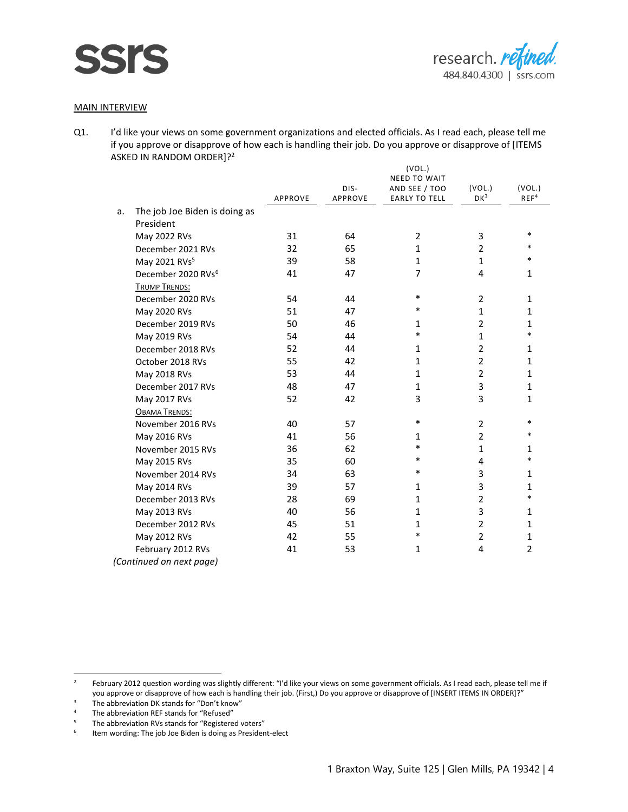

#### MAIN INTERVIEW

**SSIS** 

|    |                                |         |         | (VOL.)               |                |                  |
|----|--------------------------------|---------|---------|----------------------|----------------|------------------|
|    |                                |         |         | <b>NEED TO WAIT</b>  |                |                  |
|    |                                |         | DIS-    | AND SEE / TOO        | (VOL.)         | (VOL.)           |
|    |                                | APPROVE | APPROVE | <b>EARLY TO TELL</b> | $DK^3$         | REF <sup>4</sup> |
| a. | The job Joe Biden is doing as  |         |         |                      |                |                  |
|    | President                      |         |         |                      |                |                  |
|    | May 2022 RVs                   | 31      | 64      | 2                    | 3              | $\ast$           |
|    | December 2021 RVs              | 32      | 65      | $\mathbf{1}$         | $\mathfrak{p}$ | *                |
|    | May 2021 RVs <sup>5</sup>      | 39      | 58      | $\mathbf{1}$         | $\mathbf{1}$   | *                |
|    | December 2020 RVs <sup>6</sup> | 41      | 47      | 7                    | 4              | $\mathbf{1}$     |
|    | <b>TRUMP TRENDS:</b>           |         |         |                      |                |                  |
|    | December 2020 RVs              | 54      | 44      | $\ast$               | $\overline{2}$ | $\mathbf{1}$     |
|    | May 2020 RVs                   | 51      | 47      | $\ast$               | $\mathbf{1}$   | 1                |
|    | December 2019 RVs              | 50      | 46      | 1                    | $\overline{2}$ | 1                |
|    | May 2019 RVs                   | 54      | 44      | $\ast$               | $\mathbf{1}$   | $\ast$           |
|    | December 2018 RVs              | 52      | 44      | $\mathbf{1}$         | $\overline{2}$ | $\mathbf{1}$     |
|    | October 2018 RVs               | 55      | 42      | $\mathbf{1}$         | $\overline{2}$ | 1                |
|    | May 2018 RVs                   | 53      | 44      | $\mathbf{1}$         | $\overline{2}$ | $\mathbf{1}$     |
|    | December 2017 RVs              | 48      | 47      | 1                    | 3              | 1                |
|    | May 2017 RVs                   | 52      | 42      | 3                    | 3              | 1                |
|    | <b>OBAMA TRENDS:</b>           |         |         |                      |                |                  |
|    | November 2016 RVs              | 40      | 57      | $\ast$               | $\overline{2}$ | $\ast$           |
|    | May 2016 RVs                   | 41      | 56      | 1                    | $\overline{2}$ | *                |
|    | November 2015 RVs              | 36      | 62      | $\ast$               | $\mathbf{1}$   | $\mathbf{1}$     |
|    | May 2015 RVs                   | 35      | 60      | $\ast$               | 4              | *                |
|    | November 2014 RVs              | 34      | 63      | $\ast$               | 3              | 1                |
|    | May 2014 RVs                   | 39      | 57      | $\mathbf{1}$         | 3              | 1                |
|    | December 2013 RVs              | 28      | 69      | $\mathbf{1}$         | $\overline{2}$ | $\ast$           |
|    | May 2013 RVs                   | 40      | 56      | $\mathbf{1}$         | 3              | 1                |
|    | December 2012 RVs              | 45      | 51      | $\mathbf{1}$         | $\overline{2}$ | $\mathbf{1}$     |
|    | May 2012 RVs                   | 42      | 55      | $\ast$               | 2              | 1                |
|    | February 2012 RVs              | 41      | 53      | 1                    | 4              | $\overline{2}$   |
|    | (Continued on next page)       |         |         |                      |                |                  |

<sup>&</sup>lt;sup>2</sup> February 2012 question wording was slightly different: "I'd like your views on some government officials. As I read each, please tell me if you approve or disapprove of how each is handling their job. (First,) Do you approve or disapprove of [INSERT ITEMS IN ORDER]?"

<sup>&</sup>lt;sup>3</sup> The abbreviation DK stands for "Don't know"<br><sup>4</sup> The abbreviation RFF stands for "Refused"

<sup>&</sup>lt;sup>4</sup> The abbreviation REF stands for "Refused"<br><sup>5</sup> The abbreviation PVs stands for "Pogistore

The abbreviation RVs stands for "Registered voters"

<sup>6</sup> Item wording: The job Joe Biden is doing as President-elect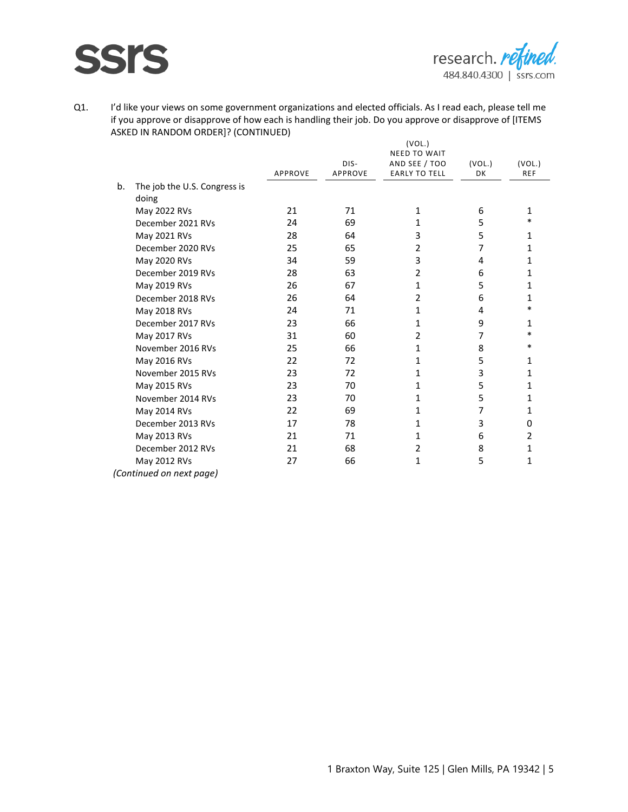

|                                    |                |                | (VOL.)               |           |            |
|------------------------------------|----------------|----------------|----------------------|-----------|------------|
|                                    |                |                | <b>NEED TO WAIT</b>  |           |            |
|                                    |                | DIS-           | AND SEE / TOO        | (VOL.)    | (VOL.)     |
|                                    | <b>APPROVE</b> | <b>APPROVE</b> | <b>EARLY TO TELL</b> | <b>DK</b> | <b>REF</b> |
| b.<br>The job the U.S. Congress is |                |                |                      |           |            |
| doing                              |                |                |                      |           |            |
| May 2022 RVs                       | 21             | 71             | 1                    | 6         | 1          |
| December 2021 RVs                  | 24             | 69             | 1                    | 5         | $\ast$     |
| May 2021 RVs                       | 28             | 64             | 3                    | 5         | 1          |
| December 2020 RVs                  | 25             | 65             | $\overline{2}$       | 7         | 1          |
| May 2020 RVs                       | 34             | 59             | 3                    | 4         | 1          |
| December 2019 RVs                  | 28             | 63             | $\overline{2}$       | 6         | 1          |
| May 2019 RVs                       | 26             | 67             | 1                    | 5         | 1          |
| December 2018 RVs                  | 26             | 64             | 2                    | 6         | 1          |
| May 2018 RVs                       | 24             | 71             | 1                    | 4         | $\ast$     |
| December 2017 RVs                  | 23             | 66             | 1                    | 9         | 1          |
| May 2017 RVs                       | 31             | 60             | 2                    | 7         | $\ast$     |
| November 2016 RVs                  | 25             | 66             | 1                    | 8         | $\ast$     |
| May 2016 RVs                       | 22             | 72             | 1                    | 5         | 1          |
| November 2015 RVs                  | 23             | 72             | 1                    | 3         | 1          |
| May 2015 RVs                       | 23             | 70             | 1                    | 5         | 1          |
| November 2014 RVs                  | 23             | 70             | 1                    | 5         | 1          |
| May 2014 RVs                       | 22             | 69             | 1                    | 7         | 1          |
| December 2013 RVs                  | 17             | 78             | 1                    | 3         | 0          |
| May 2013 RVs                       | 21             | 71             | 1                    | 6         | 2          |
| December 2012 RVs                  | 21             | 68             | $\overline{2}$       | 8         | 1          |
| May 2012 RVs                       | 27             | 66             | 1                    | 5         | 1          |
| (Continued on next page)           |                |                |                      |           |            |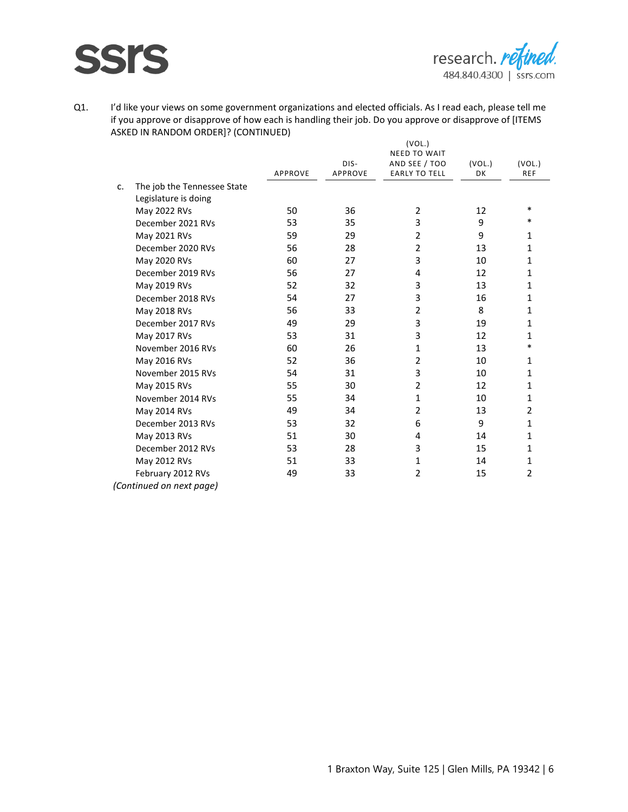

|    |                             |                                                                                                                           |         | (VOL.)                               |        |                |
|----|-----------------------------|---------------------------------------------------------------------------------------------------------------------------|---------|--------------------------------------|--------|----------------|
|    |                             |                                                                                                                           | DIS-    | <b>NEED TO WAIT</b><br>AND SEE / TOO | (VOL.) | (VOL.)         |
|    |                             | APPROVE<br>50<br>53<br>59<br>56<br>60<br>56<br>52<br>54<br>56<br>49<br>53<br>60<br>52<br>54<br>55<br>55<br>49<br>53<br>51 | APPROVE | <b>EARLY TO TELL</b>                 | DK     | <b>REF</b>     |
| c. | The job the Tennessee State |                                                                                                                           |         |                                      |        |                |
|    | Legislature is doing        |                                                                                                                           |         |                                      |        |                |
|    | May 2022 RVs                |                                                                                                                           | 36      | $\overline{2}$                       | 12     | $\ast$         |
|    | December 2021 RVs           |                                                                                                                           | 35      | 3                                    | 9      | $\ast$         |
|    | May 2021 RVs                |                                                                                                                           | 29      | $\overline{2}$                       | 9      | 1              |
|    | December 2020 RVs           |                                                                                                                           | 28      | $\overline{2}$                       | 13     | 1              |
|    | May 2020 RVs                |                                                                                                                           | 27      | 3                                    | 10     | 1              |
|    | December 2019 RVs           |                                                                                                                           | 27      | 4                                    | 12     | 1              |
|    | May 2019 RVs                |                                                                                                                           | 32      | 3                                    | 13     | 1              |
|    | December 2018 RVs           |                                                                                                                           | 27      | 3                                    | 16     | 1              |
|    | May 2018 RVs                |                                                                                                                           | 33      | $\overline{2}$                       | 8      | 1              |
|    | December 2017 RVs           |                                                                                                                           | 29      | 3                                    | 19     | 1              |
|    | May 2017 RVs                |                                                                                                                           | 31      | 3                                    | 12     | 1              |
|    | November 2016 RVs           |                                                                                                                           | 26      | $\mathbf{1}$                         | 13     | $\ast$         |
|    | May 2016 RVs                |                                                                                                                           | 36      | $\overline{2}$                       | 10     | 1              |
|    | November 2015 RVs           |                                                                                                                           | 31      | 3                                    | 10     | 1              |
|    | May 2015 RVs                |                                                                                                                           | 30      | $\overline{2}$                       | 12     | 1              |
|    | November 2014 RVs           |                                                                                                                           | 34      | $\mathbf{1}$                         | 10     | 1              |
|    | May 2014 RVs                |                                                                                                                           | 34      | $\overline{2}$                       | 13     | $\overline{2}$ |
|    | December 2013 RVs           |                                                                                                                           | 32      | 6                                    | 9      | 1              |
|    | May 2013 RVs                |                                                                                                                           | 30      | 4                                    | 14     | 1              |
|    | December 2012 RVs           | 53                                                                                                                        | 28      | 3                                    | 15     | 1              |
|    | May 2012 RVs                | 51                                                                                                                        | 33      | 1                                    | 14     | 1              |
|    | February 2012 RVs           | 49                                                                                                                        | 33      | $\overline{2}$                       | 15     | $\overline{2}$ |
|    | (Continued on next page)    |                                                                                                                           |         |                                      |        |                |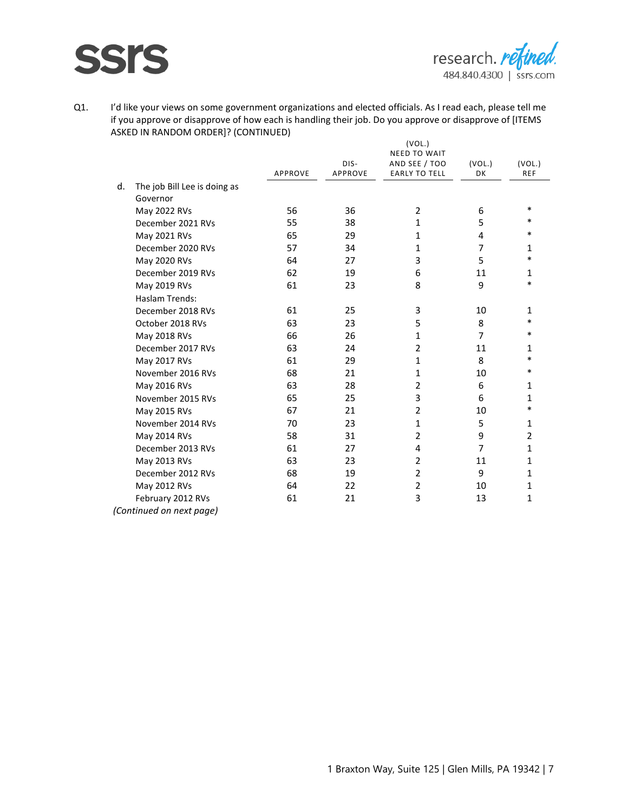

|    |                              |                |                | (VOL.)               |                |                |
|----|------------------------------|----------------|----------------|----------------------|----------------|----------------|
|    |                              |                |                | <b>NEED TO WAIT</b>  |                |                |
|    |                              |                | DIS-           | AND SEE / TOO        | (VOL.)         | (VOL.)         |
|    |                              | <b>APPROVE</b> | <b>APPROVE</b> | <b>EARLY TO TELL</b> | DK             | <b>REF</b>     |
| d. | The job Bill Lee is doing as |                |                |                      |                |                |
|    | Governor                     |                |                |                      |                |                |
|    | May 2022 RVs                 | 56             | 36             | $\overline{2}$       | 6              | $\ast$         |
|    | December 2021 RVs            | 55             | 38             | $\mathbf{1}$         | 5              | $\ast$         |
|    | May 2021 RVs                 | 65             | 29             | $\mathbf{1}$         | 4              | $\ast$         |
|    | December 2020 RVs            | 57             | 34             | 1                    | $\overline{7}$ | 1              |
|    | May 2020 RVs                 | 64             | 27             | 3                    | 5              | $\ast$         |
|    | December 2019 RVs            | 62             | 19             | 6                    | 11             | $\mathbf{1}$   |
|    | May 2019 RVs                 | 61             | 23             | 8                    | 9              | $\ast$         |
|    | Haslam Trends:               |                |                |                      |                |                |
|    | December 2018 RVs            | 61             | 25             | 3                    | 10             | $\mathbf{1}$   |
|    | October 2018 RVs             | 63             | 23             | 5                    | 8              | $\ast$         |
|    | May 2018 RVs                 | 66             | 26             | $\mathbf{1}$         | $\overline{7}$ | $\ast$         |
|    | December 2017 RVs            | 63             | 24             | $\overline{2}$       | 11             | 1              |
|    | May 2017 RVs                 | 61             | 29             | $\mathbf{1}$         | 8              | $\ast$         |
|    | November 2016 RVs            | 68             | 21             | 1                    | 10             | $\ast$         |
|    | May 2016 RVs                 | 63             | 28             | $\overline{2}$       | 6              | 1              |
|    | November 2015 RVs            | 65             | 25             | 3                    | 6              | 1              |
|    | May 2015 RVs                 | 67             | 21             | $\overline{2}$       | 10             | $\ast$         |
|    | November 2014 RVs            | 70             | 23             | $\mathbf{1}$         | 5              | $\mathbf{1}$   |
|    | May 2014 RVs                 | 58             | 31             | $\overline{2}$       | 9              | $\overline{2}$ |
|    | December 2013 RVs            | 61             | 27             | 4                    | $\overline{7}$ | $\mathbf{1}$   |
|    | May 2013 RVs                 | 63             | 23             | $\overline{2}$       | 11             | 1              |
|    | December 2012 RVs            | 68             | 19             | $\overline{2}$       | 9              | 1              |
|    | May 2012 RVs                 | 64             | 22             | $\overline{2}$       | 10             | 1              |
|    | February 2012 RVs            | 61             | 21             | 3                    | 13             | 1              |
|    | (Continued on next page)     |                |                |                      |                |                |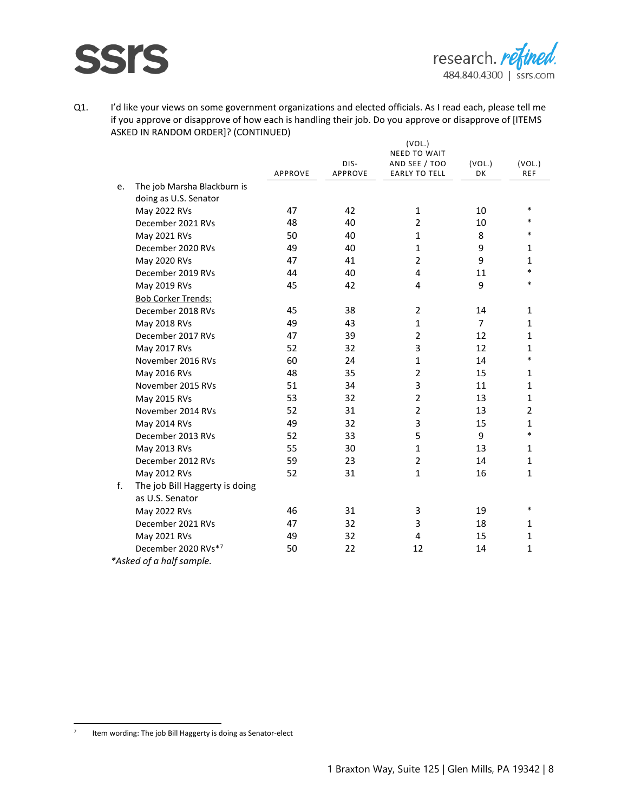

|    |                                |         |                 | (VOL.)                                |                |                        |
|----|--------------------------------|---------|-----------------|---------------------------------------|----------------|------------------------|
|    |                                |         |                 | <b>NEED TO WAIT</b>                   |                |                        |
|    |                                | APPROVE | DIS-<br>APPROVE | AND SEE / TOO<br><b>EARLY TO TELL</b> | (VOL.)<br>DK   | (VOL.)<br><b>REF</b>   |
| e. | The job Marsha Blackburn is    |         |                 |                                       |                |                        |
|    | doing as U.S. Senator          |         |                 |                                       |                |                        |
|    | May 2022 RVs                   | 47      | 42              | $\mathbf{1}$                          | 10             | $\ast$                 |
|    | December 2021 RVs              | 48      | 40              | $\overline{2}$                        | 10             | $\ast$                 |
|    | May 2021 RVs                   | 50      | 40              | $\mathbf{1}$                          | 8              | $\ast$                 |
|    | December 2020 RVs              | 49      | 40              | $\mathbf{1}$                          | 9              | $\mathbf{1}$           |
|    | May 2020 RVs                   | 47      | 41              | $\overline{2}$                        | 9              | $\mathbf{1}$           |
|    | December 2019 RVs              | 44      | 40              | 4                                     | 11             | $\ast$                 |
|    | May 2019 RVs                   | 45      | 42              | 4                                     | 9              | $\ast$                 |
|    | <b>Bob Corker Trends:</b>      |         |                 |                                       |                |                        |
|    | December 2018 RVs              | 45      | 38              | $\overline{2}$                        | 14             | $\mathbf{1}$           |
|    | May 2018 RVs                   | 49      | 43              | 1                                     | $\overline{7}$ | $\mathbf{1}$           |
|    | December 2017 RVs              | 47      | 39              | $\overline{2}$                        | 12             | $\mathbf{1}$           |
|    |                                | 52      | 32              | 3                                     | 12             | $\mathbf{1}$           |
|    | May 2017 RVs                   | 60      | 24              | $\mathbf{1}$                          | 14             | $\ast$                 |
|    | November 2016 RVs              |         |                 | $\overline{2}$                        |                | $\mathbf{1}$           |
|    | May 2016 RVs                   | 48      | 35              |                                       | 15             |                        |
|    | November 2015 RVs              | 51      | 34              | 3                                     | 11             | $\mathbf{1}$           |
|    | May 2015 RVs                   | 53      | 32              | $\overline{2}$                        | 13             | $\mathbf{1}$           |
|    | November 2014 RVs              | 52      | 31              | $\overline{2}$                        | 13             | $\overline{2}$         |
|    | May 2014 RVs                   | 49      | 32              | 3                                     | 15             | $\mathbf{1}$<br>$\ast$ |
|    | December 2013 RVs              | 52      | 33              | 5                                     | 9              |                        |
|    | May 2013 RVs                   | 55      | 30              | $\mathbf{1}$                          | 13             | $\mathbf{1}$           |
|    | December 2012 RVs              | 59      | 23              | $\overline{2}$                        | 14             | $\mathbf{1}$           |
|    | May 2012 RVs                   | 52      | 31              | $\mathbf{1}$                          | 16             | $\mathbf{1}$           |
| f. | The job Bill Haggerty is doing |         |                 |                                       |                |                        |
|    | as U.S. Senator                |         |                 |                                       |                |                        |
|    | May 2022 RVs                   | 46      | 31              | 3                                     | 19             | $\ast$                 |
|    | December 2021 RVs              | 47      | 32              | 3                                     | 18             | $\mathbf{1}$           |
|    | May 2021 RVs                   | 49      | 32              | 4                                     | 15             | $\mathbf{1}$           |
|    | December 2020 RVs*7            | 50      | 22              | 12                                    | 14             | $\mathbf{1}$           |
|    | *Asked of a half sample.       |         |                 |                                       |                |                        |

<sup>7</sup> Item wording: The job Bill Haggerty is doing as Senator-elect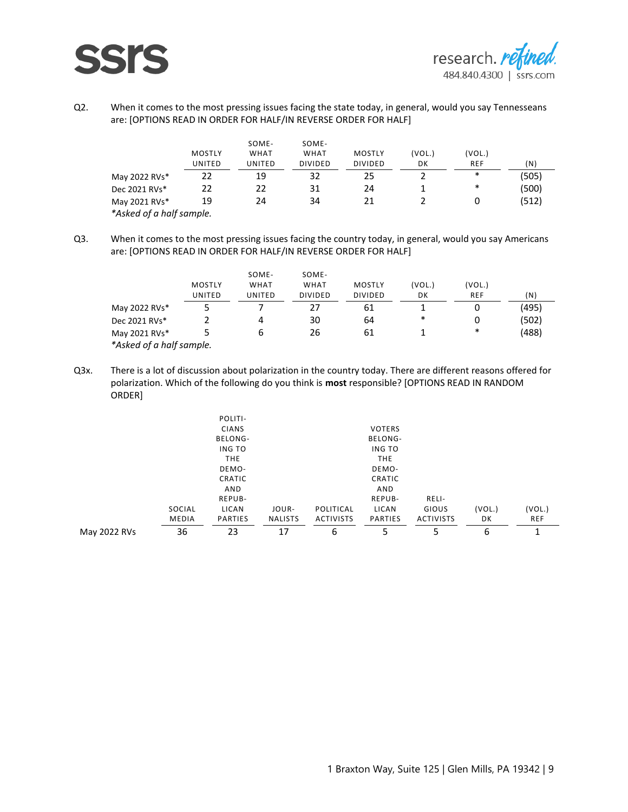

Q2. When it comes to the most pressing issues facing the state today, in general, would you say Tennesseans are: [OPTIONS READ IN ORDER FOR HALF/IN REVERSE ORDER FOR HALF]

|                          | <b>MOSTLY</b><br>UNITED | SOME-<br><b>WHAT</b><br>UNITED | SOME-<br><b>WHAT</b><br><b>DIVIDED</b> | <b>MOSTLY</b><br><b>DIVIDED</b> | (VOL.)<br>DK                                                                                                                                                                                                                                       | (VOL.)<br><b>REF</b>                                                                                                       | (N)       |
|--------------------------|-------------------------|--------------------------------|----------------------------------------|---------------------------------|----------------------------------------------------------------------------------------------------------------------------------------------------------------------------------------------------------------------------------------------------|----------------------------------------------------------------------------------------------------------------------------|-----------|
| May 2022 RVs*            |                         | <br>19                         |                                        | 25                              | <b><i>A CONTRACTOR COMPANY AND RESERVED AT \$200 PERCENT AND RESERVED AT \$200 PERCENT AND RESERVED AT \$200 PERCENT AND RESERVED AT \$300 PERCENT AND RESERVED AT \$300 PERCENT AND \$300 PERCENT AND RESERVED AT \$300 PERCENT AND \$300</i></b> | <b>CARD AND RESIDENTS OF A REPORT OF A STATE OF A REPORT OF A REPORT OF A REPORT OF A REPORT OF A REPORT OF A REP</b><br>∗ | <br>(505) |
| Dec 2021 RVs*            | フフ                      |                                | 31                                     | 24                              |                                                                                                                                                                                                                                                    | ∗                                                                                                                          | (500)     |
| May 2021 RVs*            | 19                      | 24                             | 34                                     |                                 |                                                                                                                                                                                                                                                    |                                                                                                                            | (512)     |
| *Asked of a half sample. |                         |                                |                                        |                                 |                                                                                                                                                                                                                                                    |                                                                                                                            |           |

Q3. When it comes to the most pressing issues facing the country today, in general, would you say Americans are: [OPTIONS READ IN ORDER FOR HALF/IN REVERSE ORDER FOR HALF]

|                          | MOSTLY<br>JNITFD              | SOME-<br><b>WHAT</b><br>IJNITFD | SOME-<br>WHAT<br>NIVIDED     | MOSTLY<br>DIVIDED            | VOL.)<br>DK                    | VOL.)<br>REF                | 'N       |
|--------------------------|-------------------------------|---------------------------------|------------------------------|------------------------------|--------------------------------|-----------------------------|----------|
| May 2022 RVs*            | ----------------------------- | -----------------------------   | ---------------------------- | ---------------------------- | ,,,,,,,,,,,,,,,,,,,,,,,,,,,,,, | --------------------------- | <br>'495 |
| Dec 2021 RVs*            |                               |                                 | 30                           | 64                           | ∗                              |                             | 502      |
| May 2021 RVs*            |                               |                                 | 26                           |                              |                                | *                           | .488     |
| *Asked of a half sample. |                               |                                 |                              |                              |                                |                             |          |

Q3x. There is a lot of discussion about polarization in the country today. There are different reasons offered for polarization. Which of the following do you think is **most** responsible? [OPTIONS READ IN RANDOM ORDER]

|              |                                           | POLITI-        |                |                  |                                           |                  |                                |                                       |
|--------------|-------------------------------------------|----------------|----------------|------------------|-------------------------------------------|------------------|--------------------------------|---------------------------------------|
|              |                                           | <b>CIANS</b>   |                |                  | <b>VOTERS</b>                             |                  |                                |                                       |
|              |                                           | BELONG-        |                |                  | BELONG-                                   |                  |                                |                                       |
|              |                                           | ING TO         |                |                  | ING TO                                    |                  |                                |                                       |
|              |                                           | <b>THE</b>     |                |                  | <b>THE</b>                                |                  |                                |                                       |
|              |                                           | DEMO-          |                |                  | DEMO-                                     |                  |                                |                                       |
|              |                                           | CRATIC         |                |                  | CRATIC                                    |                  |                                |                                       |
|              |                                           | AND            |                |                  | AND                                       |                  |                                |                                       |
|              |                                           | REPUB-         |                |                  | REPUB-                                    | RELI-            |                                |                                       |
|              | SOCIAL                                    | LICAN          | JOUR-          | POLITICAL        | LICAN                                     | GIOUS            | (VOL.)                         | (VOL.)                                |
|              | <b>MEDIA</b><br>------------------------- | <b>PARTIES</b> | <b>NALISTS</b> | <b>ACTIVISTS</b> | <b>PARTIES</b><br>----------------------- | <b>ACTIVISTS</b> | DK<br>------------------------ | <b>REF</b><br>----------------------- |
| May 2022 RVs | 36                                        | 23             | 17             | ь                |                                           |                  | ь                              |                                       |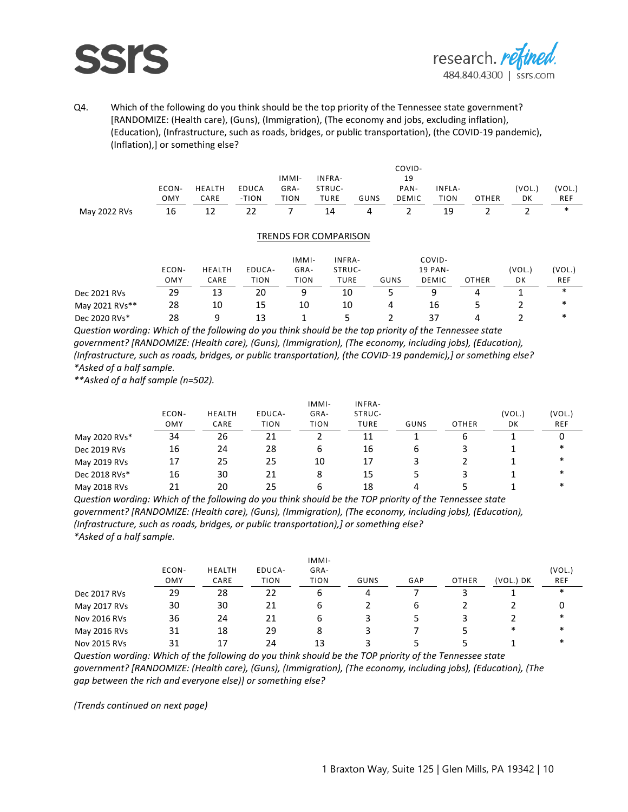### **SSI**



Q4. Which of the following do you think should be the top priority of the Tennessee state government? [RANDOMIZE: (Health care), (Guns), (Immigration), (The economy and jobs, excluding inflation), (Education), (Infrastructure, such as roads, bridges, or public transportation), (the COVID-19 pandemic), (Inflation),] or something else?

|              |        |        |       |       |        |      | COVID- |                         |              |        |        |
|--------------|--------|--------|-------|-------|--------|------|--------|-------------------------|--------------|--------|--------|
|              |        |        |       | IMMI- | INFRA- |      | 19     |                         |              |        |        |
|              | ECON-  | HEALTH | EDUCA | GRA-  | STRUC- |      | PAN-   | INFLA-                  |              | (VOL.) | (VOL.) |
|              | OMY    | CARE   | -TION | TION  | TURE   | GUNS | DEMIC  | TION                    | <b>OTHER</b> | DK     | REF    |
| May 2022 RVs | <br>16 |        | 22    |       | 14     | 4    |        | -----------------<br>19 |              |        |        |

#### TRENDS FOR COMPARISON

|                | ECON-<br>OMY | HEALTH<br>CARE | EDUCA-<br><b>TION</b> | IMMI-<br>GRA-<br><b>TION</b> | INFRA-<br>STRUC-<br><b>TURE</b> | GUNS | COVID-<br><b>19 PAN-</b><br><b>DEMIC</b> | <b>OTHER</b> | (VOL.<br>DK | (VOL.)<br><b>REF</b> |
|----------------|--------------|----------------|-----------------------|------------------------------|---------------------------------|------|------------------------------------------|--------------|-------------|----------------------|
| Dec 2021 RVs   | 29           | 13             | 20                    | q                            | 10                              |      |                                          |              |             | ∗                    |
| May 2021 RVs** | 28           | 10             | 15                    | 10                           | 10                              | 4    | 16                                       |              |             | ∗                    |
| Dec 2020 RVs*  | 28           | a              | 13                    |                              |                                 |      |                                          |              |             | ∗                    |

*Question wording: Which of the following do you think should be the top priority of the Tennessee state government? [RANDOMIZE: (Health care), (Guns), (Immigration), (The economy, including jobs), (Education), (Infrastructure, such as roads, bridges, or public transportation), (the COVID-19 pandemic),] or something else? \*Asked of a half sample.*

*\*\*Asked of a half sample (n=502).*

|               |                               |                                 |                                      | IMMI-                                 | INFRA-                         |      |                                 |                              |                               |
|---------------|-------------------------------|---------------------------------|--------------------------------------|---------------------------------------|--------------------------------|------|---------------------------------|------------------------------|-------------------------------|
|               | ECON-                         | <b>HEALTH</b>                   | EDUCA-                               | GRA-                                  | STRUC-                         |      |                                 | (VOL.)                       | (VOL.                         |
|               | OMY<br>---------------------- | CARE<br>----------------------- | <b>TION</b><br>--------------------- | <b>TION</b><br>---------------------- | TURE<br>---------------------- | GUNS | OTHER<br>---------------------- | DK<br>---------------------- | REF<br>---------------------- |
| May 2020 RVs* | 34                            | /h                              |                                      |                                       |                                |      |                                 |                              |                               |
| Dec 2019 RVs  | 16                            | 24                              | 28                                   | ь                                     | 16                             | h    |                                 |                              |                               |
| May 2019 RVs  |                               | 25                              | 25                                   | 10                                    | 17                             |      |                                 |                              |                               |
| Dec 2018 RVs* | 16                            | 30                              |                                      |                                       | 15                             |      |                                 |                              |                               |
| May 2018 RVs  |                               |                                 |                                      |                                       | 18                             |      |                                 |                              |                               |

*Question wording: Which of the following do you think should be the TOP priority of the Tennessee state government? [RANDOMIZE: (Health care), (Guns), (Immigration), (The economy, including jobs), (Education), (Infrastructure, such as roads, bridges, or public transportation),] or something else? \*Asked of a half sample.*

|              |                               |               |                                       | IMMI-                          |                                 |                               |              |                                     |                                      |
|--------------|-------------------------------|---------------|---------------------------------------|--------------------------------|---------------------------------|-------------------------------|--------------|-------------------------------------|--------------------------------------|
|              | ECON-                         | <b>HEALTH</b> | EDUCA-                                | GRA-                           |                                 |                               |              |                                     | (VOL.                                |
|              | OMY<br>---------------------- | CARE          | <b>TION</b><br>---------------------- | TION<br>---------------------- | GUNS<br>----------------------- | GAP<br>---------------------- | <b>OTHER</b> | (VOL.) DK<br>---------------------- | <b>REF</b><br>---------------------- |
| Dec 2017 RVs | 29                            | 28            |                                       | b                              |                                 |                               |              |                                     | ∗                                    |
| May 2017 RVs | 30                            | 30            |                                       | h                              |                                 | b                             |              |                                     |                                      |
| Nov 2016 RVs | 36                            | 24            |                                       | ь                              |                                 |                               |              |                                     | ∗                                    |
| May 2016 RVs |                               | 18            | 29                                    |                                |                                 |                               |              | ∗                                   | ∗                                    |
| Nov 2015 RVs |                               |               |                                       |                                |                                 |                               |              |                                     | ∗                                    |

*Question wording: Which of the following do you think should be the TOP priority of the Tennessee state government? [RANDOMIZE: (Health care), (Guns), (Immigration), (The economy, including jobs), (Education), (The gap between the rich and everyone else)] or something else?*

*(Trends continued on next page)*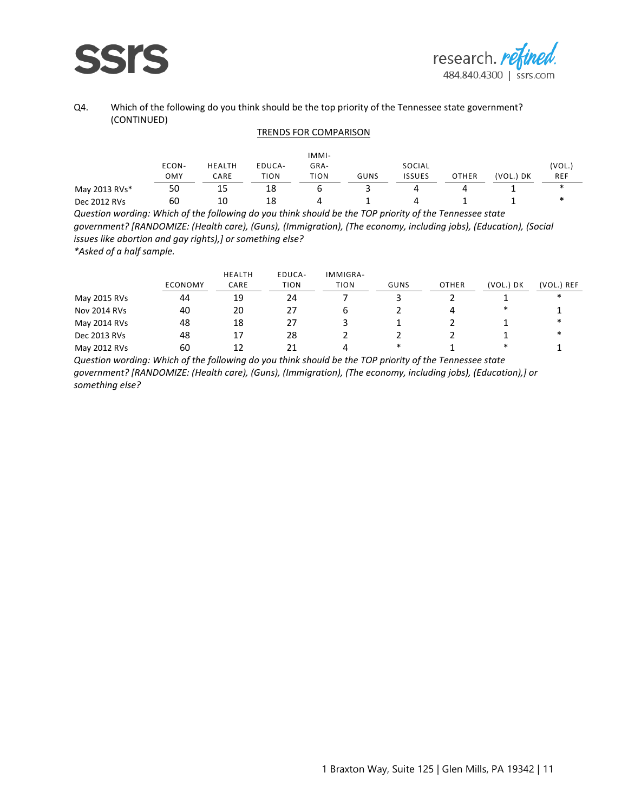

#### Q4. Which of the following do you think should be the top priority of the Tennessee state government? (CONTINUED)

#### TRENDS FOR COMPARISON

|               |                               |                                |                               | IMMI-                         |          |                                 |                                |               |                      |
|---------------|-------------------------------|--------------------------------|-------------------------------|-------------------------------|----------|---------------------------------|--------------------------------|---------------|----------------------|
|               | ECON-                         | <b>HEALTH</b>                  | EDUCA-                        | GRA-                          |          | SOCIAL                          |                                |               | (VOL.)               |
|               | OMY<br>---------------------- | CARE<br>---------------------- | TION<br>--------------------- | TION<br>--------------------- | GUNS<br> | ISSUES<br>--------------------- | OTHER<br>--------------------- | (VOL.) DK<br> | <b>REF</b><br>------ |
| May 2013 RVs* | 50                            | 15                             | 18                            | ь                             |          | 4                               |                                |               | ∗                    |
| Dec 2012 RVs  | 60                            | 10                             | 18                            |                               |          | 4                               |                                |               | ж                    |

*Question wording: Which of the following do you think should be the TOP priority of the Tennessee state government? [RANDOMIZE: (Health care), (Guns), (Immigration), (The economy, including jobs), (Education), (Social issues like abortion and gay rights),] or something else? \*Asked of a half sample.*

ECONOMY HEALTH CARE EDUCA-TION IMMIGRA-TION GUNS OTHER (VOL.) DK (VOL.) REF May 2015 RVs 44 19 24 7 3 2 1 \* Nov 2014 RVs 40 20 27 6 2 4 \* 1 May 2014 RVs 48 18 27 3 1 2 1 \*<br>Per 2013 RVs 48 17 28 2 2 2 2 1 \* Dec 2013 RVs 48 17 28 2 2 2 1 \* May 2012 RVs 60 12 21 4 \* 1 \* 1

*Question wording: Which of the following do you think should be the TOP priority of the Tennessee state government? [RANDOMIZE: (Health care), (Guns), (Immigration), (The economy, including jobs), (Education),] or something else?*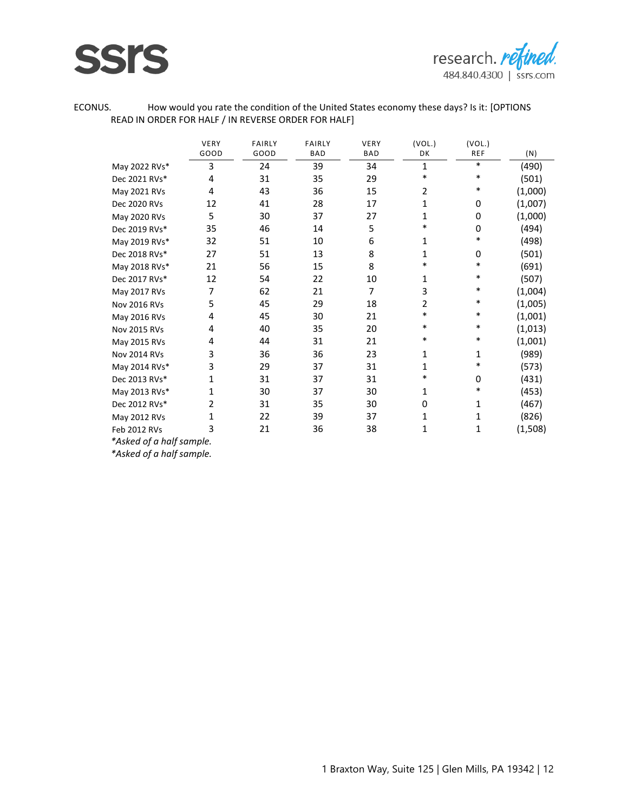



ECONUS. How would you rate the condition of the United States economy these days? Is it: [OPTIONS READ IN ORDER FOR HALF / IN REVERSE ORDER FOR HALF]

|                     | VERY<br>GOOD | <b>FAIRLY</b><br>GOOD | <b>FAIRLY</b><br><b>BAD</b> | VERY<br><b>BAD</b> | (VOL.)<br>DK | (VOL.)<br><b>REF</b> |         |
|---------------------|--------------|-----------------------|-----------------------------|--------------------|--------------|----------------------|---------|
|                     |              |                       |                             |                    |              |                      | (N)     |
| May 2022 RVs*       | 3            | 24                    | 39                          | 34                 | 1            | *                    | (490)   |
| Dec 2021 RVs*       | 4            | 31                    | 35                          | 29                 | $\ast$       | $\ast$               | (501)   |
| May 2021 RVs        | 4            | 43                    | 36                          | 15                 | 2            | *                    | (1,000) |
| Dec 2020 RVs        | 12           | 41                    | 28                          | 17                 | 1            | 0                    | (1,007) |
| May 2020 RVs        | 5            | 30                    | 37                          | 27                 | 1            | 0                    | (1,000) |
| Dec 2019 RVs*       | 35           | 46                    | 14                          | 5                  | $\ast$       | 0                    | (494)   |
| May 2019 RVs*       | 32           | 51                    | 10                          | 6                  | 1            | $\ast$               | (498)   |
| Dec 2018 RVs*       | 27           | 51                    | 13                          | 8                  | 1            | 0                    | (501)   |
| May 2018 RVs*       | 21           | 56                    | 15                          | 8                  | *            | $\ast$               | (691)   |
| Dec 2017 RVs*       | 12           | 54                    | 22                          | 10                 | 1            | *                    | (507)   |
| May 2017 RVs        | 7            | 62                    | 21                          | 7                  | 3            | $\ast$               | (1,004) |
| <b>Nov 2016 RVs</b> | 5            | 45                    | 29                          | 18                 | 2            | $\ast$               | (1,005) |
| May 2016 RVs        | 4            | 45                    | 30                          | 21                 | $\ast$       | $\ast$               | (1,001) |
| Nov 2015 RVs        | 4            | 40                    | 35                          | 20                 | $\ast$       | *                    | (1,013) |
| May 2015 RVs        | 4            | 44                    | 31                          | 21                 | *            | *                    | (1,001) |
| Nov 2014 RVs        | 3            | 36                    | 36                          | 23                 | 1            | 1                    | (989)   |
| May 2014 RVs*       | 3            | 29                    | 37                          | 31                 | 1            | *                    | (573)   |
| Dec 2013 RVs*       | 1            | 31                    | 37                          | 31                 | *            | 0                    | (431)   |
| May 2013 RVs*       | 1            | 30                    | 37                          | 30                 | 1            | *                    | (453)   |
| Dec 2012 RVs*       | 2            | 31                    | 35                          | 30                 | 0            | 1                    | (467)   |
| May 2012 RVs        | 1            | 22                    | 39                          | 37                 | 1            | 1                    | (826)   |
| Feb 2012 RVs        | 3            | 21                    | 36                          | 38                 | 1            | 1                    | (1,508) |
| $\cdots$            |              |                       |                             |                    |              |                      |         |

*\*Asked of a half sample.*

*\*Asked of a half sample.*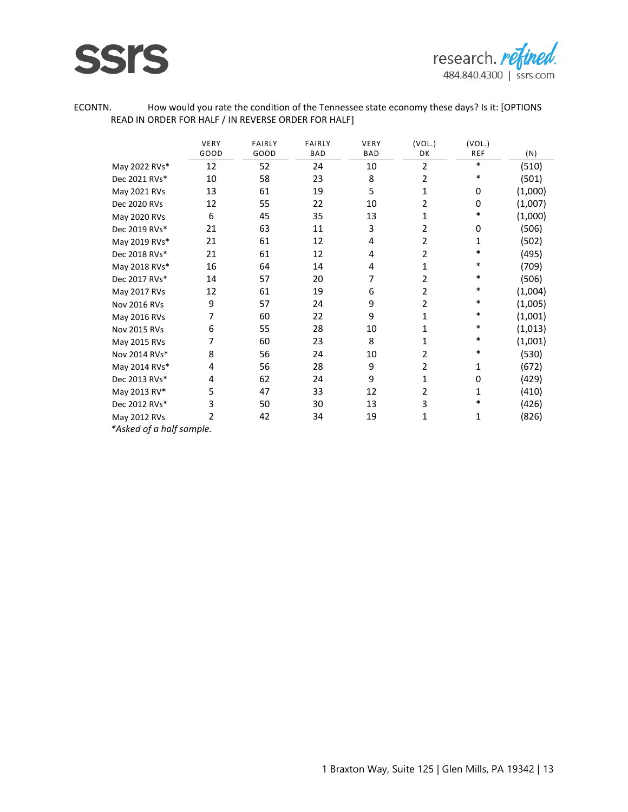



ECONTN. How would you rate the condition of the Tennessee state economy these days? Is it: [OPTIONS READ IN ORDER FOR HALF / IN REVERSE ORDER FOR HALF]

|                          | VERY           | <b>FAIRLY</b> | <b>FAIRLY</b> | VERY       | (VOL.)         | (VOL.)     |         |
|--------------------------|----------------|---------------|---------------|------------|----------------|------------|---------|
|                          | GOOD           | GOOD          | <b>BAD</b>    | <b>BAD</b> | DK             | <b>REF</b> | (N)     |
| May 2022 RVs*            | 12             | 52            | 24            | 10         | 2              | *          | (510)   |
| Dec 2021 RVs*            | 10             | 58            | 23            | 8          | 2              | *          | (501)   |
| May 2021 RVs             | 13             | 61            | 19            | 5          | 1              | 0          | (1,000) |
| Dec 2020 RVs             | 12             | 55            | 22            | 10         | $\overline{2}$ | 0          | (1,007) |
| May 2020 RVs             | 6              | 45            | 35            | 13         | 1              | *          | (1,000) |
| Dec 2019 RVs*            | 21             | 63            | 11            | 3          | 2              | 0          | (506)   |
| May 2019 RVs*            | 21             | 61            | 12            | 4          | $\overline{2}$ | 1          | (502)   |
| Dec 2018 RVs*            | 21             | 61            | 12            | 4          | 2              | *          | (495)   |
| May 2018 RVs*            | 16             | 64            | 14            | 4          | 1              | *          | (709)   |
| Dec 2017 RVs*            | 14             | 57            | 20            | 7          | $\overline{2}$ | *          | (506)   |
| May 2017 RVs             | 12             | 61            | 19            | 6          | $\overline{2}$ | *          | (1,004) |
| <b>Nov 2016 RVs</b>      | 9              | 57            | 24            | 9          | $\overline{2}$ | *          | (1,005) |
| May 2016 RVs             | 7              | 60            | 22            | 9          | $\mathbf 1$    | $\ast$     | (1,001) |
| Nov 2015 RVs             | 6              | 55            | 28            | 10         | 1              | *          | (1,013) |
| May 2015 RVs             | 7              | 60            | 23            | 8          | 1              | *          | (1,001) |
| Nov 2014 RVs*            | 8              | 56            | 24            | 10         | $\overline{2}$ | *          | (530)   |
| May 2014 RVs*            | 4              | 56            | 28            | 9          | $\overline{2}$ | 1          | (672)   |
| Dec 2013 RVs*            | 4              | 62            | 24            | 9          | $\mathbf 1$    | 0          | (429)   |
| May 2013 RV*             | 5              | 47            | 33            | 12         | 2              | 1          | (410)   |
| Dec 2012 RVs*            | 3              | 50            | 30            | 13         | 3              | $\ast$     | (426)   |
| May 2012 RVs             | $\overline{2}$ | 42            | 34            | 19         | 1              | 1          | (826)   |
| *Asked of a half sample. |                |               |               |            |                |            |         |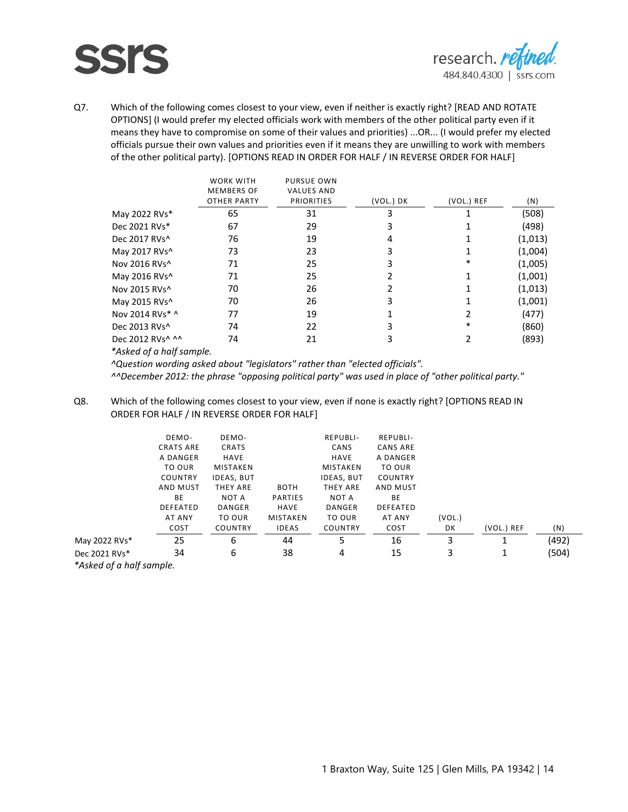

Q7. Which of the following comes closest to your view, even if neither is exactly right? [READ AND ROTATE OPTIONS] (I would prefer my elected officials work with members of the other political party even if it means they have to compromise on some of their values and priorities) ...OR... (I would prefer my elected officials pursue their own values and priorities even if it means they are unwilling to work with members of the other political party). [OPTIONS READ IN ORDER FOR HALF / IN REVERSE ORDER FOR HALF]

|                  | <b>WORK WITH</b>   | <b>PURSUE OWN</b> |           |            |         |
|------------------|--------------------|-------------------|-----------|------------|---------|
|                  | <b>MEMBERS OF</b>  | <b>VALUES AND</b> |           |            |         |
|                  | <b>OTHER PARTY</b> | <b>PRIORITIES</b> | (VOL.) DK | (VOL.) REF | (N)     |
| May 2022 RVs*    | 65                 | 31                | 3         |            | (508)   |
| Dec 2021 RVs*    | 67                 | 29                | 3         |            | (498)   |
| Dec 2017 RVs^    | 76                 | 19                |           |            | (1,013) |
| May 2017 RVs^    | 73                 | 23                |           |            | (1,004) |
| Nov 2016 RVs^    | 71                 | 25                |           | *          | (1,005) |
| May 2016 RVs^    | 71                 | 25                |           |            | (1,001) |
| Nov 2015 RVs^    | 70                 | 26                |           |            | (1,013) |
| May 2015 RVs^    | 70                 | 26                |           |            | (1,001) |
| Nov 2014 RVs* ^  | 77                 | 19                |           |            | (477)   |
| Dec 2013 RVs^    | 74                 | 22                |           | ∗          | (860)   |
| Dec 2012 RVs^ ^^ | 74                 | 21                |           |            | (893)   |
|                  |                    |                   |           |            |         |

*\*Asked of a half sample.*

*^Question wording asked about "legislators" rather than "elected officials". ^^December 2012: the phrase "opposing political party" was used in place of "other political party."*

Q8. Which of the following comes closest to your view, even if none is exactly right? [OPTIONS READ IN ORDER FOR HALF / IN REVERSE ORDER FOR HALF]

|                          | DEMO-            | DEMO-             |                | REPUBLI-          | <b>REPUBLI-</b> |        |            |       |
|--------------------------|------------------|-------------------|----------------|-------------------|-----------------|--------|------------|-------|
|                          | <b>CRATS ARE</b> | CRATS             |                | CANS              | CANS ARE        |        |            |       |
|                          | A DANGER         | HAVE              |                | HAVE              | A DANGER        |        |            |       |
|                          | TO OUR           | MISTAKEN          |                | MISTAKEN          | TO OUR          |        |            |       |
|                          | <b>COUNTRY</b>   | <b>IDEAS, BUT</b> |                | <b>IDEAS, BUT</b> | COUNTRY         |        |            |       |
|                          | AND MUST         | THEY ARE          | <b>BOTH</b>    | THEY ARE          | AND MUST        |        |            |       |
|                          | BE               | NOT A             | <b>PARTIES</b> | NOT A             | BE              |        |            |       |
|                          | <b>DEFEATED</b>  | DANGER            | HAVE           | DANGER            | <b>DEFEATED</b> |        |            |       |
|                          | AT ANY           | TO OUR            | MISTAKEN       | TO OUR            | AT ANY          | (VOL.) |            |       |
|                          | COST             | <b>COUNTRY</b>    | <b>IDEAS</b>   | <b>COUNTRY</b>    | COST            | DK     | (VOL.) REF | (N)   |
| May 2022 RVs*            | 25               | 6                 | 44             | 5                 | 16              | 3      |            | (492) |
| Dec 2021 RVs*            | 34               | 6                 | 38             | 4                 | 15              | 3      | 1          | (504) |
| *Asked of a half sample. |                  |                   |                |                   |                 |        |            |       |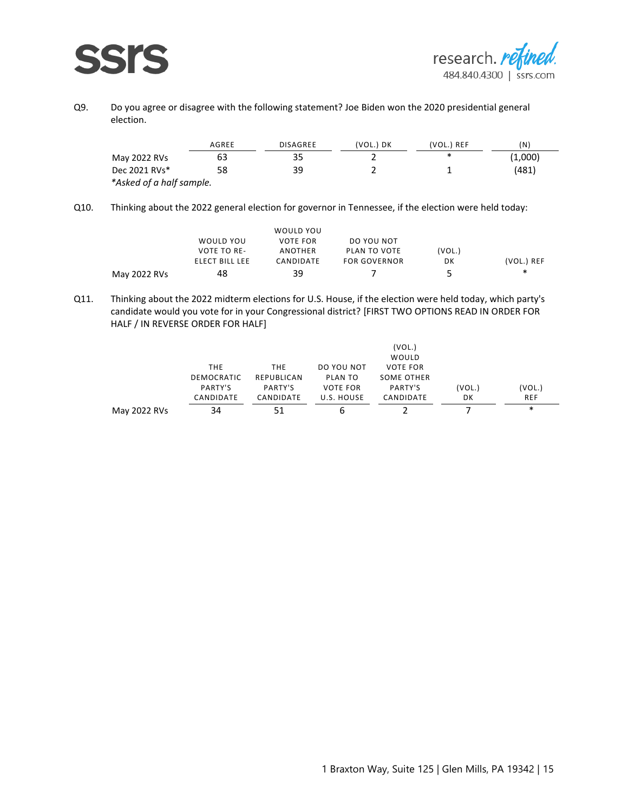

Q9. Do you agree or disagree with the following statement? Joe Biden won the 2020 presidential general election.

|                          | AGREE | <b>DISAGREE</b> | VOL.) DK<br><b>CONTRACTOR</b> | 'VOL.) REF | 'N)   |
|--------------------------|-------|-----------------|-------------------------------|------------|-------|
| May 2022 RVs             |       |                 |                               | ж          | 1,000 |
| Dec 2021 RVs*            |       |                 |                               |            | 481'  |
| *Asked of a half sample. |       |                 |                               |            |       |

Q10. Thinking about the 2022 general election for governor in Tennessee, if the election were held today:

| May 2022 RVs |                    | 20        |              | -      | ∗          |
|--------------|--------------------|-----------|--------------|--------|------------|
|              | ELECT BILL LEE     | CANDIDATE | FOR GOVERNOR | DK     | (VOL.) REF |
|              | <b>VOTE TO RE-</b> | ANOTHER   | PLAN TO VOTE | 'VOL.) |            |
|              | WOULD YOU          | VOTE FOR  | DO YOU NOT   |        |            |
|              |                    | WOULD YOU |              |        |            |
|              |                    |           |              |        |            |

Q11. Thinking about the 2022 midterm elections for U.S. House, if the election were held today, which party's candidate would you vote for in your Congressional district? [FIRST TWO OPTIONS READ IN ORDER FOR HALF / IN REVERSE ORDER FOR HALF]

|              |                                        |            |                 | (VOL.)          |                                  |                                     |
|--------------|----------------------------------------|------------|-----------------|-----------------|----------------------------------|-------------------------------------|
|              |                                        |            |                 | WOULD           |                                  |                                     |
|              | <b>THE</b>                             | <b>THE</b> | DO YOU NOT      | <b>VOTE FOR</b> |                                  |                                     |
|              | DEMOCRATIC                             | REPUBLICAN | PLAN TO         | SOME OTHER      |                                  |                                     |
|              | PARTY'S                                | PARTY'S    | <b>VOTE FOR</b> | PARTY'S         | (VOL.)                           | (VOL.)                              |
|              | CANDIDATE                              | CANDIDATE  | U.S. HOUSE      | CANDIDATE       | DK                               | <b>REF</b>                          |
| May 2022 RVs | --------------------------------<br>34 |            | h               |                 | -------------------------------- | ------------------------------<br>∗ |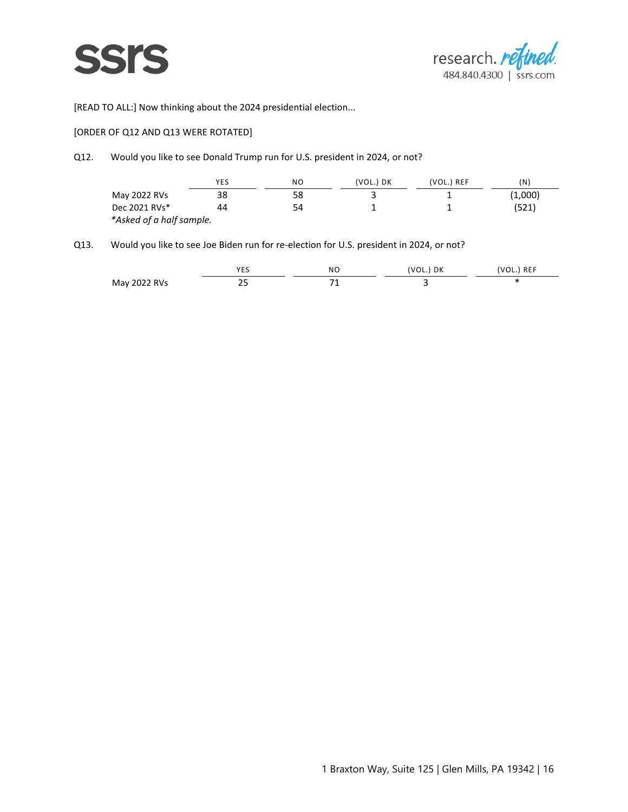



[READ TO ALL:] Now thinking about the 2024 presidential election...

#### [ORDER OF Q12 AND Q13 WERE ROTATED]

#### Q12. Would you like to see Donald Trump run for U.S. president in 2024, or not?

|                          | <b>YES</b> | NΟ | (VOL.) DK | (VOL.) REF | N)    |
|--------------------------|------------|----|-----------|------------|-------|
| May 2022 RVs             |            |    |           |            | .000' |
| Dec 2021 RVs*            |            |    |           |            | 24 ک  |
| *Asked of a half sample. |            |    |           |            |       |

### Q13. Would you like to see Joe Biden run for re-election for U.S. president in 2024, or not?

|                       | $\sim$ $ -$<br>--<br>____ | NC.<br>------ | DK<br>ັບ – | <b>REF</b><br>--- |
|-----------------------|---------------------------|---------------|------------|-------------------|
| May<br>R<br>.<br>---- | --<br>__                  |               |            |                   |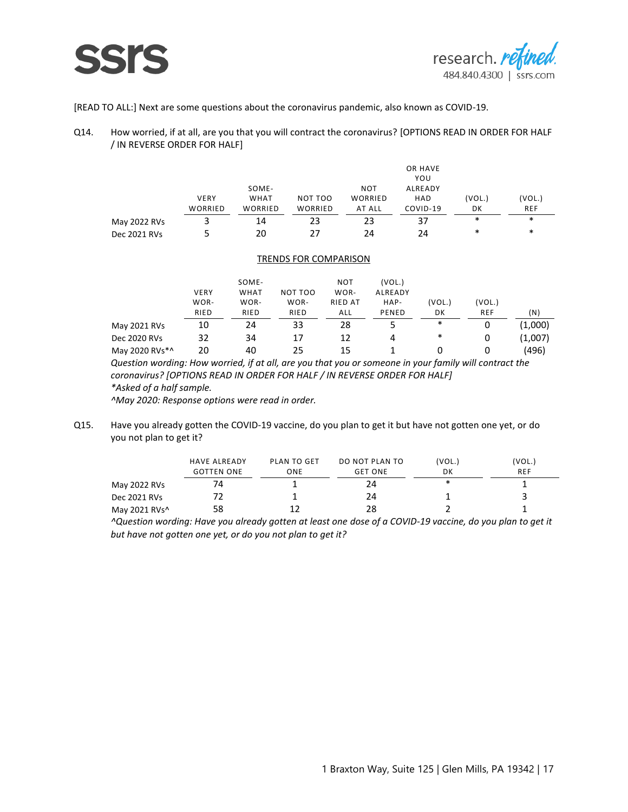

[READ TO ALL:] Next are some questions about the coronavirus pandemic, also known as COVID-19.

Q14. How worried, if at all, are you that you will contract the coronavirus? [OPTIONS READ IN ORDER FOR HALF / IN REVERSE ORDER FOR HALF]

|              |                |             |         |         | OR HAVE |     |        |
|--------------|----------------|-------------|---------|---------|---------|-----|--------|
|              |                |             |         |         | YOU     |     |        |
|              |                | SOME-       |         | NOT     | ALREADY |     |        |
|              | <b>VERY</b>    | <b>WHAT</b> | NOT TOO | WORRIED | HAD     | UL. | VUL.   |
|              | <b>WORRIFD</b> | WORRIFD     | W/      | ALL     | VID-19، | DK  | REF    |
| May 2022 RVs |                | - 4         |         |         |         | ∗   | ∗      |
| Dec 2021 RVs |                |             |         |         | ) Д     | ∗   | $\ast$ |

#### TRENDS FOR COMPARISON

|              |                                 | SOME-                          |                                 | NOT                     |                                |                              |                               |                              |
|--------------|---------------------------------|--------------------------------|---------------------------------|-------------------------|--------------------------------|------------------------------|-------------------------------|------------------------------|
|              | <b>VERY</b>                     | WHAT                           | TOO<br>NΩ                       | WOR-                    | ALREADY                        |                              |                               |                              |
|              | WOR-                            | WOR-                           | WOR-                            | RIED AT                 | HAP-                           |                              |                               |                              |
|              | RIED<br>----------------------- | RIED<br>---------------------- | RIED<br>----------------------- | ----------------------- | ENED<br>---------------------- | DΚ<br>---------------------- | REF<br>---------------------- | 'N<br>---------------------- |
| May 2021 RVs |                                 | 14                             |                                 | 78                      |                                | *                            |                               |                              |
| Dec 2020 RVs |                                 | 34                             |                                 | าว                      |                                | *                            |                               |                              |
| Mav          |                                 |                                | ,.                              | າ ຯ                     |                                |                              |                               |                              |

*Question wording: How worried, if at all, are you that you or someone in your family will contract the coronavirus? [OPTIONS READ IN ORDER FOR HALF / IN REVERSE ORDER FOR HALF]*

*\*Asked of a half sample.*

*^May 2020: Response options were read in order.*

Q15. Have you already gotten the COVID-19 vaccine, do you plan to get it but have not gotten one yet, or do you not plan to get it?

|               | <b>HAVE ALREADY</b><br><b>GOTTEN ONE</b> | PLAN TO GET<br>ONE           | DO NOT PLAN TO<br><b>GET ONE</b> | (VOL.)<br>DK | VOL.<br><b>REF</b> |
|---------------|------------------------------------------|------------------------------|----------------------------------|--------------|--------------------|
| May 2022 RVs  | -----------------------------------      | <b>CONTRACTOR</b> CONTRACTOR | 14                               | ∗            |                    |
| Dec 2021 RVs  |                                          |                              | 14                               |              |                    |
| May 2021 RVs^ |                                          |                              |                                  |              |                    |

*^Question wording: Have you already gotten at least one dose of a COVID-19 vaccine, do you plan to get it but have not gotten one yet, or do you not plan to get it?*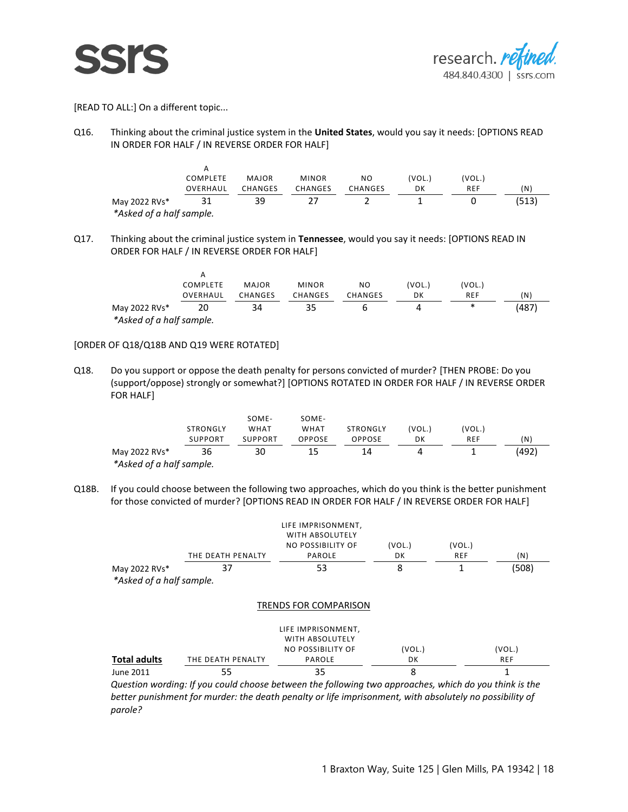



[READ TO ALL:] On a different topic...

Q16. Thinking about the criminal justice system in the **United States**, would you say it needs: [OPTIONS READ IN ORDER FOR HALF / IN REVERSE ORDER FOR HALF]

|                          | COMPLETE                        | <b>MAJOR</b> | <b>MINOR</b> | N <sub>O</sub>               | (VOL.) | 'VOL.) |     |
|--------------------------|---------------------------------|--------------|--------------|------------------------------|--------|--------|-----|
|                          | OVERHAUL                        | CHANGES      | CHANGES      | CHANGES                      | DK     | REF    | (N) |
| May 2022 RVs*            | ------------------------------- | 39           |              | ---------------------------- |        |        |     |
| *Asked of a half sample. |                                 |              |              |                              |        |        |     |

Q17. Thinking about the criminal justice system in **Tennessee**, would you say it needs: [OPTIONS READ IN ORDER FOR HALF / IN REVERSE ORDER FOR HALF]

|                          | A            |             |                                         |                                       |        |         |         |
|--------------------------|--------------|-------------|-----------------------------------------|---------------------------------------|--------|---------|---------|
|                          | COMPLETE     | MAJOR       | <b>MINOR</b>                            | NO                                    | (VOL.) | VOL.)   |         |
|                          | OVERHAUL<br> | CHANGES<br> | CHANGES<br>---------------------------- | CHANGES<br>-------------------------- | DK<br> | REF<br> | (N)<br> |
| May 2022 RVs*            |              | 34          |                                         |                                       |        | ∗       | (487    |
| *Asked of a half sample. |              |             |                                         |                                       |        |         |         |

#### [ORDER OF Q18/Q18B AND Q19 WERE ROTATED]

A

Q18. Do you support or oppose the death penalty for persons convicted of murder? [THEN PROBE: Do you (support/oppose) strongly or somewhat?] [OPTIONS ROTATED IN ORDER FOR HALF / IN REVERSE ORDER FOR HALF]

|                          | STRONGLY<br>SUPPORT | SOME-<br><b>WHAT</b><br>SUPPORT | SOME-<br>WHAT<br>OPPOSE | STRONGLY<br>OPPOSE | 'VOL.<br>DK | VOL.)<br>REF | (N |
|--------------------------|---------------------|---------------------------------|-------------------------|--------------------|-------------|--------------|----|
| May 2022 RVs*            |                     |                                 |                         | 14                 |             |              |    |
| *Asked of a half sample. |                     |                                 |                         |                    |             |              |    |

Q18B. If you could choose between the following two approaches, which do you think is the better punishment for those convicted of murder? [OPTIONS READ IN ORDER FOR HALF / IN REVERSE ORDER FOR HALF]

|                          | THE DEATH PENALTY | LIFE IMPRISONMENT,<br>WITH ABSOLUTELY<br>NO POSSIBILITY OF<br><b>PAROLE</b> | (VOL.)<br>DK | (VOL.)<br><b>REF</b> | (N)        |
|--------------------------|-------------------|-----------------------------------------------------------------------------|--------------|----------------------|------------|
| May 2022 RVs*            | 37                | 53                                                                          | 8            |                      | (508)      |
| *Asked of a half sample. |                   |                                                                             |              |                      |            |
|                          |                   | <b>TRENDS FOR COMPARISON</b>                                                |              |                      |            |
|                          |                   | LIFE IMPRISONMENT,<br>WITH ABSOLUTELY                                       |              |                      |            |
|                          |                   | <b>NO POSSIBILITY OF</b>                                                    | (VOL.)       |                      | (VOL.)     |
| <b>Total adults</b>      | THE DEATH PENALTY | PAROLE                                                                      | DK           |                      | <b>REF</b> |
| June 2011                | 55                | 35                                                                          | 8            |                      |            |

*Question wording: If you could choose between the following two approaches, which do you think is the better punishment for murder: the death penalty or life imprisonment, with absolutely no possibility of parole?*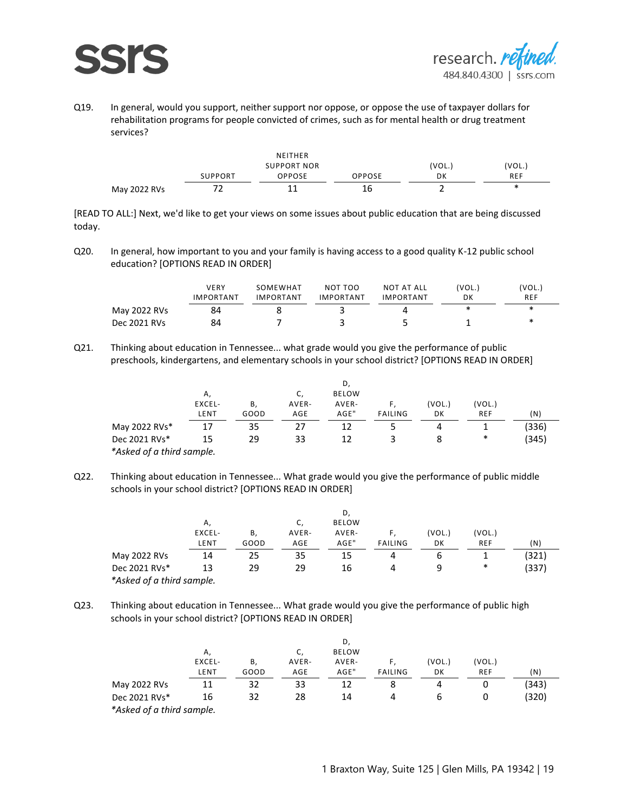



Q19. In general, would you support, neither support nor oppose, or oppose the use of taxpayer dollars for rehabilitation programs for people convicted of crimes, such as for mental health or drug treatment services?

|              |         | <b>NEITHER</b>     |              |        |             |
|--------------|---------|--------------------|--------------|--------|-------------|
|              |         | <b>SUPPORT NOR</b> |              | 'VOL.  | 'VOL.       |
|              | SUPPORT | )PPOSE             | OPPOSE       | DK     | <b>REF</b>  |
| May 2022 RVs | -       |                    | ------<br>16 | ------ | ÷<br>$\sim$ |

[READ TO ALL:] Next, we'd like to get your views on some issues about public education that are being discussed today.

Q20. In general, how important to you and your family is having access to a good quality K-12 public school education? [OPTIONS READ IN ORDER]

|              | VFRY<br><b>IMPORTANT</b> | SOMEWHAT<br><b>IMPORTANT</b> | NOT TOO<br>IMPORTANT | NOT AT ALL<br><b>IMPORTANT</b> | 'VOL.<br>DK              | 'VOL.<br><b>REF</b> |
|--------------|--------------------------|------------------------------|----------------------|--------------------------------|--------------------------|---------------------|
| May 2022 RVs |                          |                              |                      |                                | $\overline{\phantom{a}}$ | ж                   |
| Dec 2021 RVs | 84                       |                              |                      |                                |                          | ж                   |

Q21. Thinking about education in Tennessee... what grade would you give the performance of public preschools, kindergartens, and elementary schools in your school district? [OPTIONS READ IN ORDER]

|                              | Α.                             |                        | J.                           | <b>BELOW</b>                   |                                          |                              |                               |    |
|------------------------------|--------------------------------|------------------------|------------------------------|--------------------------------|------------------------------------------|------------------------------|-------------------------------|----|
|                              | -×CEL-                         | в                      | AVER-                        | AVER-                          |                                          | VOL.                         | VOL.                          |    |
|                              | LE NT<br>--------------------- | ---------------------- | AGE<br>--------------------- | AGE"<br>---------------------- | <b>FAILING</b><br>---------------------- | DK<br>---------------------- | REF<br>---------------------- | 'N |
| May 2022 RVs*                |                                |                        |                              |                                |                                          |                              |                               |    |
| Dec 2021 RVs*                |                                |                        |                              |                                |                                          |                              | ∗                             |    |
| of a third sample.<br>*Asked |                                |                        |                              |                                |                                          |                              |                               |    |

Q22. Thinking about education in Tennessee... What grade would you give the performance of public middle schools in your school district? [OPTIONS READ IN ORDER]

|                           | A                             |                               |                             | <b>BELOW</b>                  |                                 |                            |                                    |     |
|---------------------------|-------------------------------|-------------------------------|-----------------------------|-------------------------------|---------------------------------|----------------------------|------------------------------------|-----|
|                           | EXCEL-                        | В.                            | AVER-                       | AVER-                         |                                 | (VOL.)                     | (VOL.)                             |     |
|                           | LE NT<br>-------------------- | GOOD<br>--------------------- | AGE<br>-------------------- | AGE"<br>--------------------- | FAILING<br>-------------------- | DK<br>-------------------- | <b>REF</b><br>-------------------- | í N |
| May 2022 RVs              | 14                            | ᄼ                             | 35                          | 15                            |                                 |                            |                                    |     |
| Dec 2021 RVs*             |                               | 29                            | 29                          | 16                            |                                 |                            | ∗                                  | 337 |
| *Asked of a third sample. |                               |                               |                             |                               |                                 |                            |                                    |     |

Q23. Thinking about education in Tennessee... What grade would you give the performance of public high schools in your school district? [OPTIONS READ IN ORDER]

|                           |                               |                 |                               | D            |                                         |        |                                      |         |
|---------------------------|-------------------------------|-----------------|-------------------------------|--------------|-----------------------------------------|--------|--------------------------------------|---------|
|                           | $\mathsf{A}$                  |                 |                               | <b>BELOW</b> |                                         |        |                                      |         |
|                           | EXCEL-                        | В.              | AVER-                         | AVER-        |                                         | (VOL.) | (VOL.)                               |         |
|                           | LENT<br>--------------------- | GOOD<br><b></b> | AGE<br>---------------------- | AGE"<br>     | <b>FAILING</b><br>--------------------- | DK<br> | <b>REF</b><br>---------------------- | (N)<br> |
| May 2022 RVs              |                               |                 | 33                            |              |                                         |        |                                      |         |
| Dec 2021 RVs*             | 16                            |                 | 28                            | 14           |                                         | h      |                                      |         |
| *Asked of a third sample. |                               |                 |                               |              |                                         |        |                                      |         |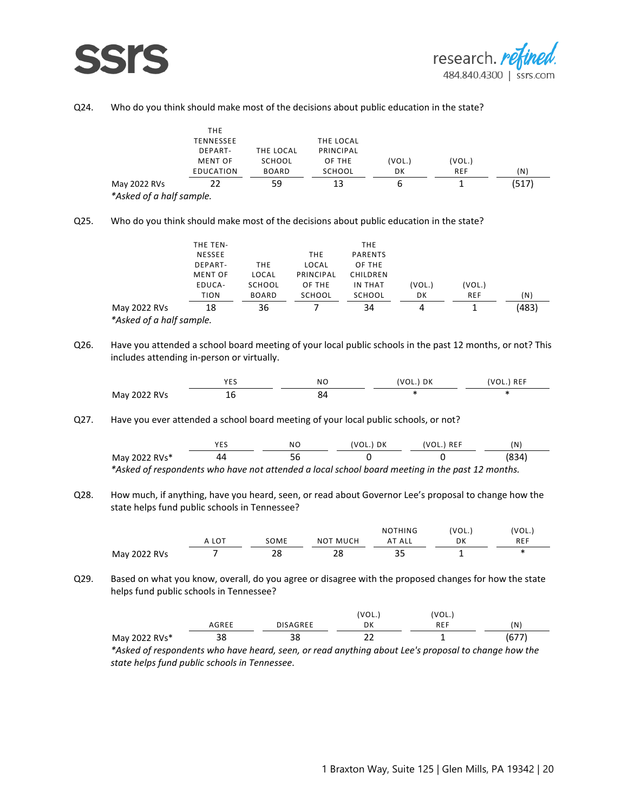

#### Q24. Who do you think should make most of the decisions about public education in the state?

| May 2022 RVs<br>$\mathcal{R}$ and $\mathcal{R}$ and $\mathcal{R}$ and $\mathcal{R}$ is a second in the set of $\mathcal{R}$ |                | 59           |           |      |      | 517 |
|-----------------------------------------------------------------------------------------------------------------------------|----------------|--------------|-----------|------|------|-----|
|                                                                                                                             | EDUCATION      | <b>BOARD</b> | SCHOOL    | DK   | REF  | (N  |
|                                                                                                                             | <b>MENT OF</b> | SCHOOL       | OF THE    | VOL. | VOL. |     |
|                                                                                                                             | DEPART-        | THE LOCAL    | PRINCIPAL |      |      |     |
|                                                                                                                             | TENNESSEE      |              | THE LOCAL |      |      |     |
|                                                                                                                             | <b>THE</b>     |              |           |      |      |     |

*\*Asked of a half sample.*

Q25. Who do you think should make most of the decisions about public education in the state?

|              | EDUCA-<br>TION            | SCHOOL<br><b>BOARD</b>     | OF THE<br>SCHOOL           | IN THAT<br>SCHOOL | VOL.)<br>DK | (VOL.)<br><b>REF</b>       | 'N                       |
|--------------|---------------------------|----------------------------|----------------------------|-------------------|-------------|----------------------------|--------------------------|
|              | ------------------------- | -------------------------- | -------------------------- |                   |             | -------------------------- | ------------------------ |
| May 2022 RVs | 18                        | 36                         |                            | 34                |             |                            |                          |

Q26. Have you attended a school board meeting of your local public schools in the past 12 months, or not? This includes attending in-person or virtually.

|                         | $V \Gamma$<br><u>_ _</u> | ΝO | DK<br>----- | <b>DEE</b><br><b>IVEI</b><br>ິ<br><b>STATISTICS</b> |
|-------------------------|--------------------------|----|-------------|-----------------------------------------------------|
| May<br>: w<br>.<br>---- | ᅚ<br>__                  | o≃ | ۰н.         | ÷<br>$\sim$                                         |

Q27. Have you ever attended a school board meeting of your local public schools, or not?

|                                                                                                 | NC | (VOL.) DK | (VOL.) REF | (N    |
|-------------------------------------------------------------------------------------------------|----|-----------|------------|-------|
| May 2022 RVs*                                                                                   |    |           |            | (834) |
| *Asked of respondents who have not attended a local school board meeting in the past 12 months. |    |           |            |       |

Q28. How much, if anything, have you heard, seen, or read about Governor Lee's proposal to change how the state helps fund public schools in Tennessee?

|              |                     |                                              |          | <b>NOTHING</b>      | 'VOL., | 'VOL.        |
|--------------|---------------------|----------------------------------------------|----------|---------------------|--------|--------------|
|              | LO <sup>T</sup><br> | SOME<br>-----------------------<br>--------- | NOT MUCH | ALL<br><br>-------- | DK     | REF<br>----- |
| May 2022 RVs |                     | 20                                           | าด<br>∠⊔ | --                  |        |              |

Q29. Based on what you know, overall, do you agree or disagree with the proposed changes for how the state helps fund public schools in Tennessee?

|               |          |          | VOL.                 | 'VOL., |         |
|---------------|----------|----------|----------------------|--------|---------|
|               | iree     | AGREE    | DK<br><br>120909-001 | IN LI  | N)      |
| May 2022 RVs* | າດ<br>эο | ാറ<br>၁၀ | ~~<br>--             |        | U.<br>. |

*\*Asked of respondents who have heard, seen, or read anything about Lee's proposal to change how the state helps fund public schools in Tennessee.*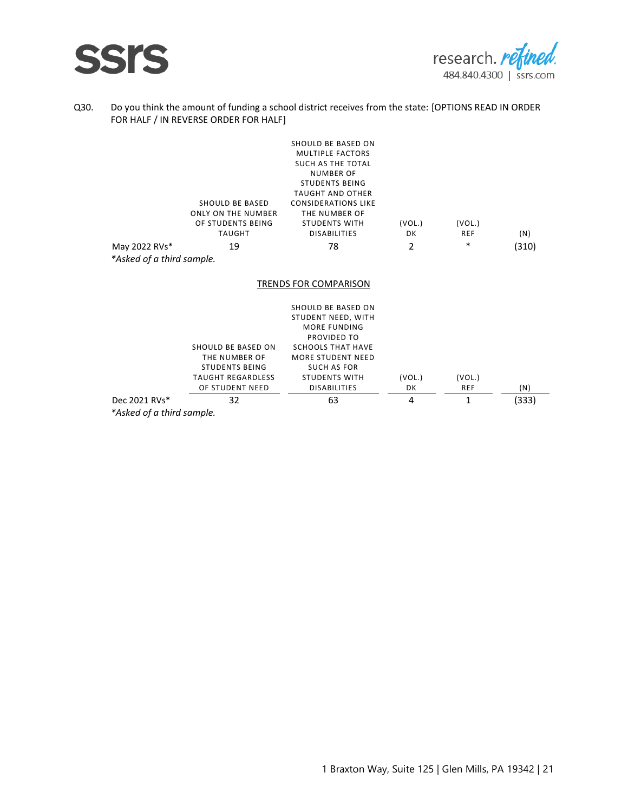



#### Q30. Do you think the amount of funding a school district receives from the state: [OPTIONS READ IN ORDER FOR HALF / IN REVERSE ORDER FOR HALF]

|                           | <b>SHOULD BE BASED</b><br><b>ONLY ON THE NUMBER</b><br>OF STUDENTS BEING<br><b>TAUGHT</b> | SHOULD BE BASED ON<br><b>MULTIPLE FACTORS</b><br><b>SUCH AS THE TOTAL</b><br><b>NUMBER OF</b><br><b>STUDENTS BEING</b><br><b>TAUGHT AND OTHER</b><br><b>CONSIDERATIONS LIKE</b><br>THE NUMBER OF<br><b>STUDENTS WITH</b><br><b>DISABILITIES</b> | (VOL.)<br>DK | (VOL.)<br>REF | (N)   |
|---------------------------|-------------------------------------------------------------------------------------------|-------------------------------------------------------------------------------------------------------------------------------------------------------------------------------------------------------------------------------------------------|--------------|---------------|-------|
| May 2022 RVs*             | 19                                                                                        | 78                                                                                                                                                                                                                                              | 2            | *             | (310) |
| *Asked of a third sample. |                                                                                           |                                                                                                                                                                                                                                                 |              |               |       |
|                           |                                                                                           | TRENDS FOR COMPARISON                                                                                                                                                                                                                           |              |               |       |
|                           |                                                                                           | SHOULD BE BASED ON                                                                                                                                                                                                                              |              |               |       |
|                           |                                                                                           | STUDENT NEED, WITH                                                                                                                                                                                                                              |              |               |       |
|                           |                                                                                           | MORE FUNDING                                                                                                                                                                                                                                    |              |               |       |
|                           | SHOULD BE BASED ON                                                                        | PROVIDED TO<br><b>SCHOOLS THAT HAVE</b>                                                                                                                                                                                                         |              |               |       |
|                           | THE NUMBER OF                                                                             | <b>MORE STUDENT NEED</b>                                                                                                                                                                                                                        |              |               |       |
|                           | <b>STUDENTS BEING</b>                                                                     | <b>SUCH AS FOR</b>                                                                                                                                                                                                                              |              |               |       |
|                           | <b>TAUGHT REGARDLESS</b>                                                                  | <b>STUDENTS WITH</b>                                                                                                                                                                                                                            | (VOL.)       | (VOL.)        |       |
|                           | OF STUDENT NEED                                                                           | <b>DISABILITIES</b>                                                                                                                                                                                                                             | DK           | <b>REF</b>    | (N)   |
| Dec 2021 RVs*             | 32                                                                                        | 63                                                                                                                                                                                                                                              | 4            | 1             | (333) |

*\*Asked of a third sample.*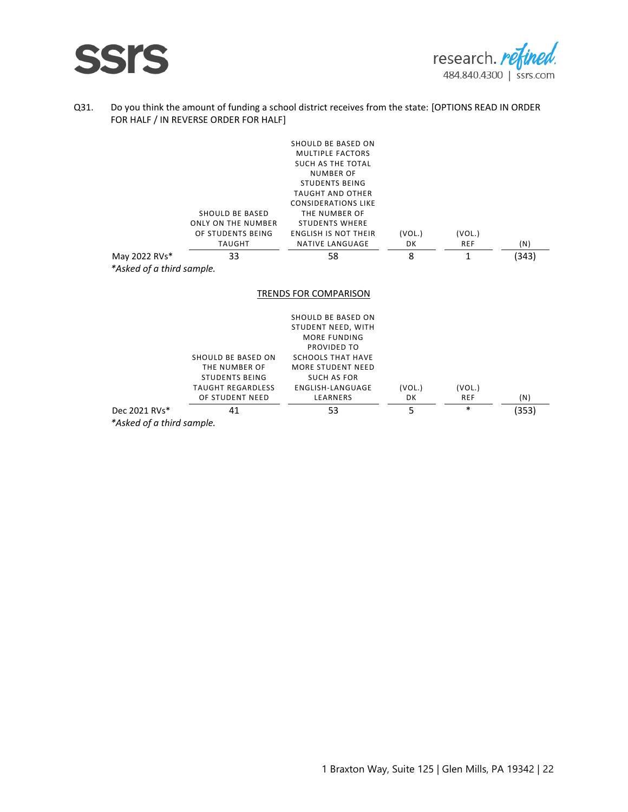



#### Q31. Do you think the amount of funding a school district receives from the state: [OPTIONS READ IN ORDER FOR HALF / IN REVERSE ORDER FOR HALF]

|                           | SHOULD BE BASED<br><b>ONLY ON THE NUMBER</b><br>OF STUDENTS BEING<br><b>TAUGHT</b> | SHOULD BE BASED ON<br><b>MULTIPLE FACTORS</b><br>SUCH AS THE TOTAL<br><b>NUMBER OF</b><br><b>STUDENTS BEING</b><br><b>TAUGHT AND OTHER</b><br><b>CONSIDERATIONS LIKE</b><br>THE NUMBER OF<br><b>STUDENTS WHERE</b><br><b>ENGLISH IS NOT THEIR</b><br><b>NATIVE LANGUAGE</b> | (VOL.)<br>DK | (VOL.)<br><b>REF</b> | (N)   |
|---------------------------|------------------------------------------------------------------------------------|-----------------------------------------------------------------------------------------------------------------------------------------------------------------------------------------------------------------------------------------------------------------------------|--------------|----------------------|-------|
| May 2022 RVs*             | 33                                                                                 | 58                                                                                                                                                                                                                                                                          | 8            | 1                    | (343) |
| *Asked of a third sample. |                                                                                    |                                                                                                                                                                                                                                                                             |              |                      |       |
|                           |                                                                                    |                                                                                                                                                                                                                                                                             |              |                      |       |
|                           |                                                                                    | TRENDS FOR COMPARISON                                                                                                                                                                                                                                                       |              |                      |       |
|                           | SHOULD BE BASED ON                                                                 | SHOULD BE BASED ON<br>STUDENT NEED, WITH<br>MORE FUNDING<br>PROVIDED TO<br><b>SCHOOLS THAT HAVE</b>                                                                                                                                                                         |              |                      |       |
|                           | THE NUMBER OF                                                                      | <b>MORE STUDENT NEED</b>                                                                                                                                                                                                                                                    |              |                      |       |
|                           | <b>STUDENTS BEING</b>                                                              | <b>SUCH AS FOR</b>                                                                                                                                                                                                                                                          |              |                      |       |
|                           | <b>TAUGHT REGARDLESS</b><br>OF STUDENT NEED                                        | ENGLISH-LANGUAGE<br>LEARNERS                                                                                                                                                                                                                                                | (VOL.)<br>DK | (VOL.)<br><b>REF</b> | (N)   |
| Dec 2021 RVs*             | 41                                                                                 | 53                                                                                                                                                                                                                                                                          | 5            | *                    | (353) |

*\*Asked of a third sample.*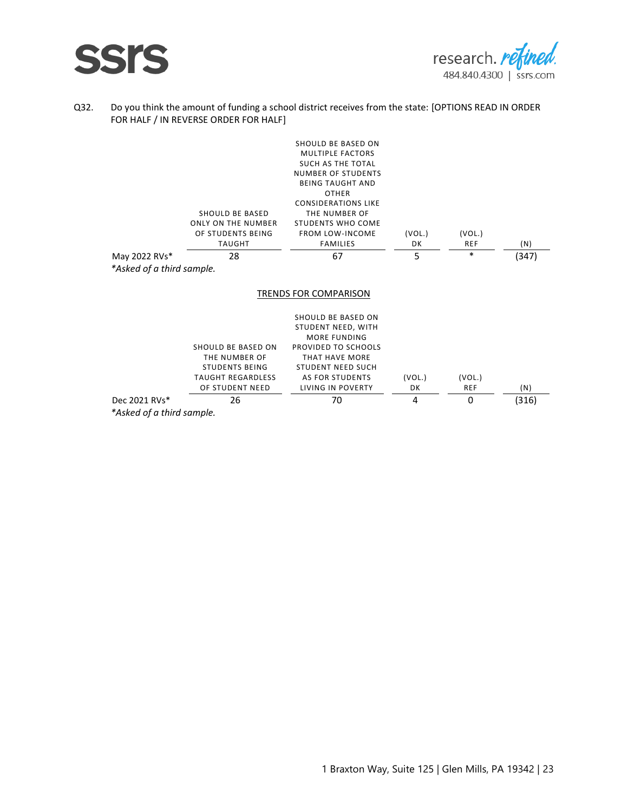



#### Q32. Do you think the amount of funding a school district receives from the state: [OPTIONS READ IN ORDER FOR HALF / IN REVERSE ORDER FOR HALF]

| May 2022 RVs*<br>*Asked of a third sample. | SHOULD BE BASED<br><b>ONLY ON THE NUMBER</b><br>OF STUDENTS BEING<br><b>TAUGHT</b><br>28                    | SHOULD BE BASED ON<br><b>MULTIPLE FACTORS</b><br>SUCH AS THE TOTAL<br><b>NUMBER OF STUDENTS</b><br><b>BEING TAUGHT AND</b><br><b>OTHER</b><br><b>CONSIDERATIONS LIKE</b><br>THE NUMBER OF<br><b>STUDENTS WHO COME</b><br><b>FROM LOW-INCOME</b><br><b>FAMILIES</b><br>67 | (VOL.)<br>DK<br>5 | (VOL.)<br><b>REF</b><br>$\ast$ | (N)<br>(347) |
|--------------------------------------------|-------------------------------------------------------------------------------------------------------------|--------------------------------------------------------------------------------------------------------------------------------------------------------------------------------------------------------------------------------------------------------------------------|-------------------|--------------------------------|--------------|
|                                            |                                                                                                             | <b>TRENDS FOR COMPARISON</b>                                                                                                                                                                                                                                             |                   |                                |              |
|                                            | SHOULD BE BASED ON<br>THE NUMBER OF<br><b>STUDENTS BEING</b><br><b>TAUGHT REGARDLESS</b><br>OF STUDENT NEED | SHOULD BE BASED ON<br>STUDENT NEED, WITH<br>MORE FUNDING<br>PROVIDED TO SCHOOLS<br>THAT HAVE MORE<br><b>STUDENT NEED SUCH</b><br><b>AS FOR STUDENTS</b><br>LIVING IN POVERTY                                                                                             | (VOL.)<br>DK      | (VOL.)<br><b>REF</b>           | (N)          |

Dec 2021 RVs\* 26 70 4 0 (316)

*\*Asked of a third sample.*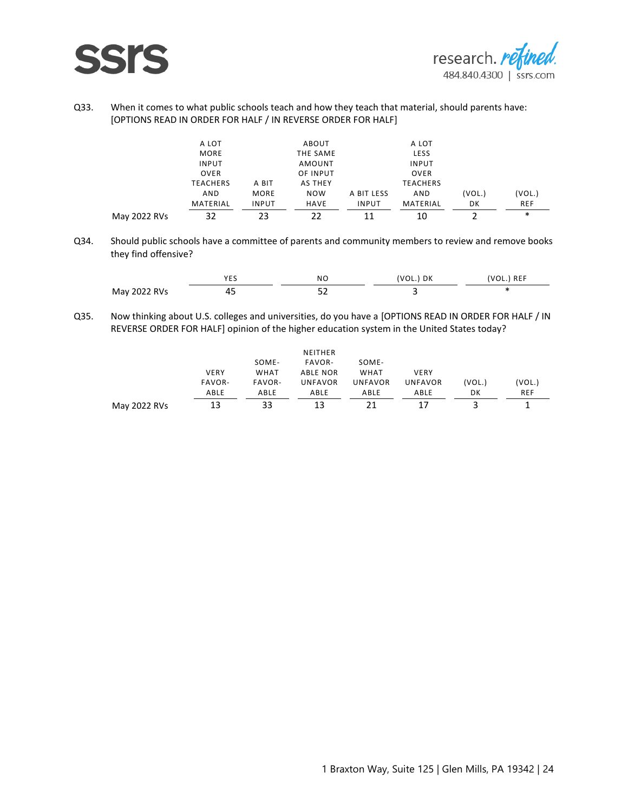

#### Q33. When it comes to what public schools teach and how they teach that material, should parents have: [OPTIONS READ IN ORDER FOR HALF / IN REVERSE ORDER FOR HALF]

| May 2022 |                 |       |                                               |            |                 |      | ∗              |
|----------|-----------------|-------|-----------------------------------------------|------------|-----------------|------|----------------|
|          | MATERIAL        | INPUT | <b>HAVE</b><br>------------------------------ | INPUT      | MATERIAL        | DΚ   | <b>REF</b><br> |
|          | <b>AND</b>      | MORE  | <b>NOW</b>                                    | A BIT LESS | AND             | VUL. |                |
|          | <b>TEACHERS</b> | A BIT | AS THEY                                       |            | <b>TEACHERS</b> |      |                |
|          | <b>OVER</b>     |       | OF INPUT                                      |            | <b>OVER</b>     |      |                |
|          | <b>INPUT</b>    |       | AMOUNT                                        |            | <b>INPUT</b>    |      |                |
|          | <b>MORE</b>     |       | THE SAME                                      |            | LESS            |      |                |
|          | A LOT           |       | <b>ABOUT</b>                                  |            | A LOT           |      |                |
|          |                 |       |                                               |            |                 |      |                |

Q34. Should public schools have a committee of parents and community members to review and remove books they find offensive?

|            | ___ | NI        | υĸ<br>------ | . |
|------------|-----|-----------|--------------|---|
| . <u>.</u> | -   | - -<br>-- |              |   |

Q35. Now thinking about U.S. colleges and universities, do you have a [OPTIONS READ IN ORDER FOR HALF / IN REVERSE ORDER FOR HALF] opinion of the higher education system in the United States today?

|              |             |             | NEITHER        |                |                |        |            |
|--------------|-------------|-------------|----------------|----------------|----------------|--------|------------|
|              |             | SOME-       | FAVOR-         | SOME-          |                |        |            |
|              | <b>VERY</b> | <b>WHAT</b> | ABLE NOR       | WHAT           | <b>VERY</b>    |        |            |
|              | FAVOR-      | FAVOR-      | <b>UNFAVOR</b> | <b>UNFAVOR</b> | <b>UNFAVOR</b> | (VOL.) | (VOL.)     |
|              | ABLE        | ABLE        | ABLE           | ABLE           | ABLE           | DK     | <b>REF</b> |
| May 2022 RVs | 13          | 33          | 13             |                | 17             |        |            |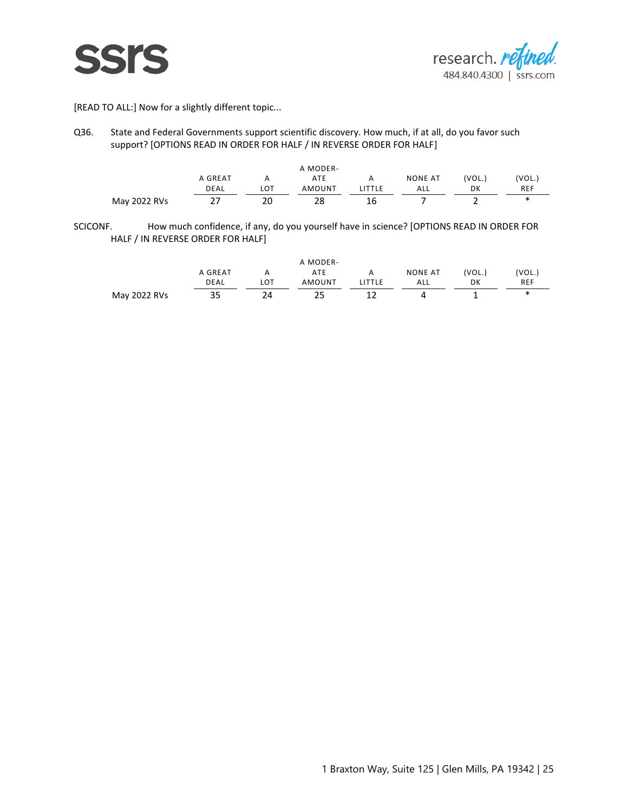



[READ TO ALL:] Now for a slightly different topic...

Q36. State and Federal Governments support scientific discovery. How much, if at all, do you favor such support? [OPTIONS READ IN ORDER FOR HALF / IN REVERSE ORDER FOR HALF]

|                  |                              |                                      | A MODER- |    |                |       |       |
|------------------|------------------------------|--------------------------------------|----------|----|----------------|-------|-------|
|                  | A GREAT                      | Α                                    | ATE      |    | <b>NONE AT</b> | 'VOL. | 'VOL. |
|                  | DEAL                         | LOT                                  | AMOUNT   |    | ALL            | DК    | REF   |
| 2022 RVs<br>May. | ---------------------------- | ------------------------------<br>20 | 28       | 16 |                | -     | <br>ж |

SCICONF. How much confidence, if any, do you yourself have in science? [OPTIONS READ IN ORDER FOR HALF / IN REVERSE ORDER FOR HALF]

|              |         |     | A MODER-   |                |       |            |
|--------------|---------|-----|------------|----------------|-------|------------|
|              | A GREAT |     | ATE        | <b>NONE AT</b> | 'VOL. | 'VOL.      |
|              | DEAL    | LOT | AMOUNT     | ALL            | DK    | <b>REF</b> |
| May 2022 RVs | 35      | --  | <u>_ _</u> |                |       | ж          |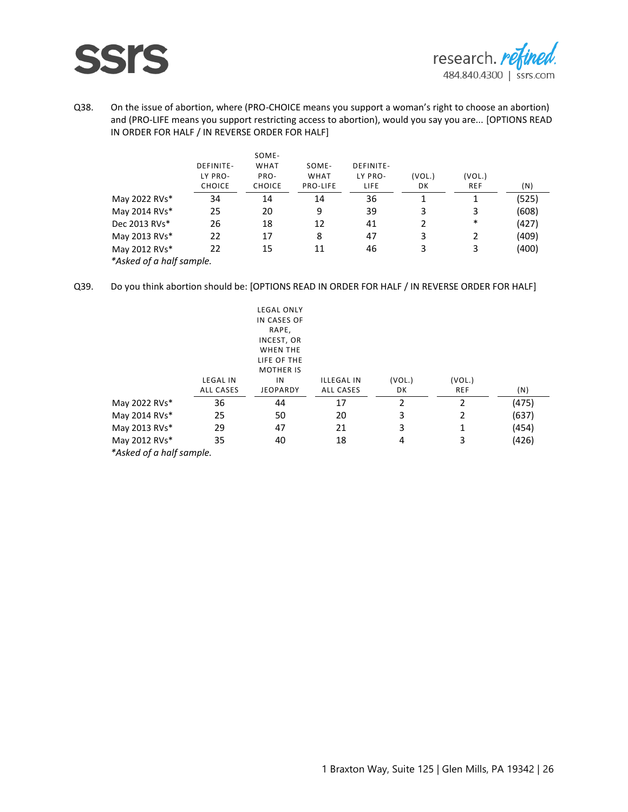

Q38. On the issue of abortion, where (PRO-CHOICE means you support a woman's right to choose an abortion) and (PRO-LIFE means you support restricting access to abortion), would you say you are... [OPTIONS READ IN ORDER FOR HALF / IN REVERSE ORDER FOR HALF]

|                          |                  | SOME-         |                 |           |        |            |       |
|--------------------------|------------------|---------------|-----------------|-----------|--------|------------|-------|
|                          | <b>DEFINITE-</b> | <b>WHAT</b>   | SOME-           | DEFINITE- |        |            |       |
|                          | LY PRO-          | PRO-          | <b>WHAT</b>     | LY PRO-   | (VOL.) | (VOL.)     |       |
|                          | <b>CHOICE</b>    | <b>CHOICE</b> | <b>PRO-LIFE</b> | LIFE      | DK     | <b>REF</b> | (N)   |
| May 2022 RVs*            | 34               | 14            | 14              | 36        |        |            | (525) |
| May 2014 RVs*            | 25               | 20            | 9               | 39        | 3      | 3          | (608) |
| Dec 2013 RVs*            | 26               | 18            | 12              | 41        |        | $\ast$     | (427) |
| May 2013 RVs*            | 22               | 17            | 8               | 47        | 3      |            | (409) |
| May 2012 RVs*            | 22               | 15            |                 | 46        | 3      | 3          | (400) |
| *Asked of a half sample. |                  |               |                 |           |        |            |       |

Q39. Do you think abortion should be: [OPTIONS READ IN ORDER FOR HALF / IN REVERSE ORDER FOR HALF]

|                         |                 | <b>LEGAL ONLY</b> |                   |        |            |       |
|-------------------------|-----------------|-------------------|-------------------|--------|------------|-------|
|                         |                 | IN CASES OF       |                   |        |            |       |
|                         |                 | RAPE,             |                   |        |            |       |
|                         |                 | INCEST, OR        |                   |        |            |       |
|                         |                 | <b>WHEN THE</b>   |                   |        |            |       |
|                         |                 | LIFE OF THE       |                   |        |            |       |
|                         |                 | <b>MOTHER IS</b>  |                   |        |            |       |
|                         | <b>LEGAL IN</b> | ΙN                | <b>ILLEGAL IN</b> | (VOL.) | (VOL.)     |       |
|                         | ALL CASES       | <b>JEOPARDY</b>   | ALL CASES         | DK     | <b>REF</b> | (N)   |
| May 2022 RVs*           | 36              | 44                | 17                | 2      | 2          | (475) |
| May 2014 RVs*           | 25              | 50                | 20                | 3      | 2          | (637) |
| May 2013 RVs*           | 29              | 47                | 21                | 3      |            | (454) |
| May 2012 RVs*           | 35              | 40                | 18                | 4      | 3          | (426) |
| *Ackad of a half cample |                 |                   |                   |        |            |       |

*\*Asked of a half sample.*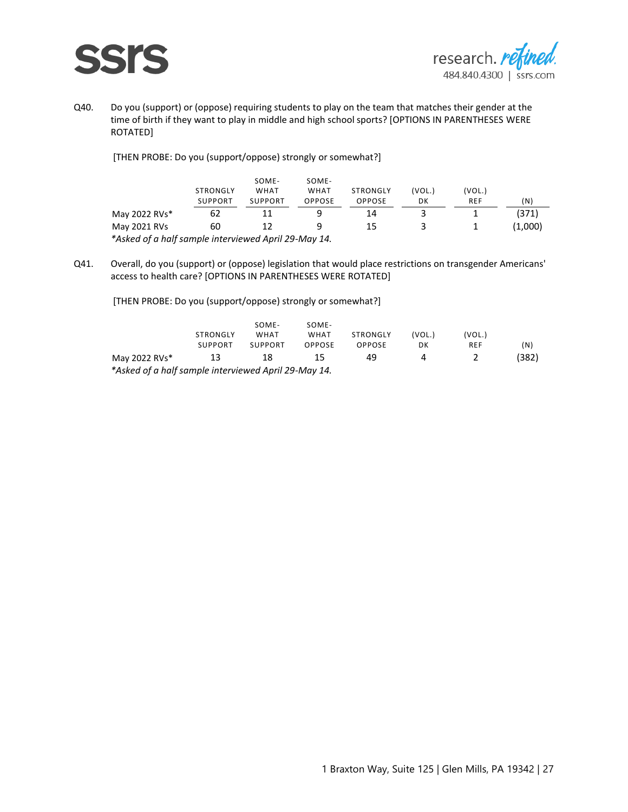



Q40. Do you (support) or (oppose) requiring students to play on the team that matches their gender at the time of birth if they want to play in middle and high school sports? [OPTIONS IN PARENTHESES WERE ROTATED]

[THEN PROBE: Do you (support/oppose) strongly or somewhat?]

|                                                      | STRONGLY<br><b>SUPPORT</b> | SOME-<br><b>WHAT</b><br><b>SUPPORT</b> | SOME-<br>WHAT<br>OPPOSE | STRONGLY<br>OPPOSE | VOL.)<br>DΚ | (VOL.)<br><b>REF</b> | (N)                 |
|------------------------------------------------------|----------------------------|----------------------------------------|-------------------------|--------------------|-------------|----------------------|---------------------|
| May 2022 RVs*                                        |                            |                                        |                         |                    |             |                      | ------------------- |
| May 2021 RVs                                         | 60                         |                                        |                         |                    |             |                      | .,000)              |
| *Asked of a half sample interviewed April 29-May 14. |                            |                                        |                         |                    |             |                      |                     |

Q41. Overall, do you (support) or (oppose) legislation that would place restrictions on transgender Americans' access to health care? [OPTIONS IN PARENTHESES WERE ROTATED]

[THEN PROBE: Do you (support/oppose) strongly or somewhat?]

|                                                       | STRONGLY<br><b>SUPPORT</b> | SOME-<br>WHAT<br><b>SUPPORT</b> | SOME-<br>WHAT<br>OPPOSE | STRONGLY<br>OPPOSF | 'VOL.<br>DK | 'VOL.)<br>REF | (N) |
|-------------------------------------------------------|----------------------------|---------------------------------|-------------------------|--------------------|-------------|---------------|-----|
| May 2022 RVs*                                         | -------------------        |                                 |                         | 44                 |             |               |     |
| Asked of a half sample interviewed April 29-May 14*** |                            |                                 |                         |                    |             |               |     |

*\*Asked of a half sample interviewed April 29-May 14.*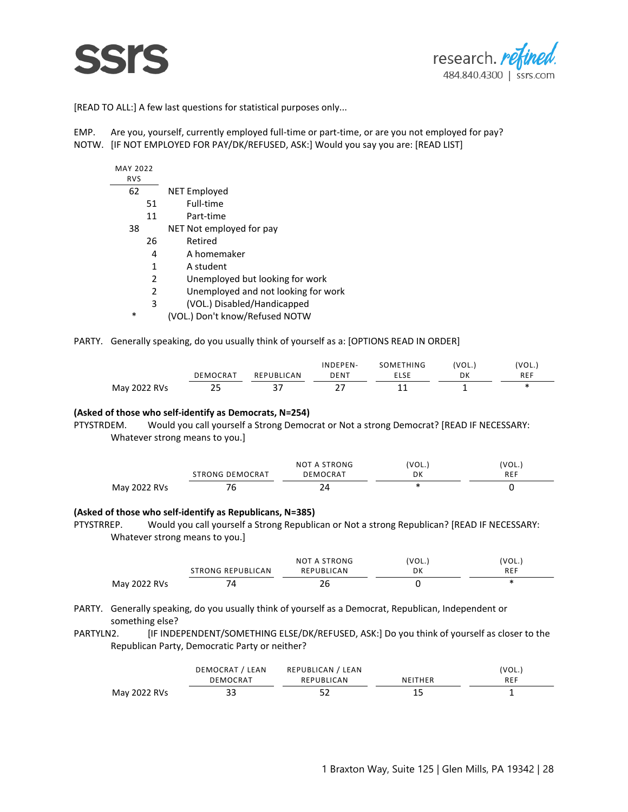



[READ TO ALL:] A few last questions for statistical purposes only...

EMP. Are you, yourself, currently employed full-time or part-time, or are you not employed for pay? NOTW. [IF NOT EMPLOYED FOR PAY/DK/REFUSED, ASK:] Would you say you are: [READ LIST]

| MAY 2022<br><b>RVS</b> |                                     |
|------------------------|-------------------------------------|
| 62                     | NET Employed                        |
| 51                     | Full-time                           |
| 11                     | Part-time                           |
| 38                     | NET Not employed for pay            |
| 26                     | Retired                             |
| 4                      | A homemaker                         |
| 1                      | A student                           |
| 2                      | Unemployed but looking for work     |
| 2                      | Unemployed and not looking for work |
| 3                      | (VOL.) Disabled/Handicapped         |
|                        |                                     |

\* (VOL.) Don't know/Refused NOTW

PARTY. Generally speaking, do you usually think of yourself as a: [OPTIONS READ IN ORDER]

|              |            |                         | INDEPEN- | SOMETHING | 'VOL. | 'VOL.,     |
|--------------|------------|-------------------------|----------|-----------|-------|------------|
|              | DEMOCRAT   | REPUBLICAN<br>--------- | DENT     |           | DK    | <b>REF</b> |
| May 2022 RVs | <u>_ _</u> | ັ                       | - -      |           |       |            |

#### **(Asked of those who self-identify as Democrats, N=254)**

PTYSTRDEM. Would you call yourself a Strong Democrat or Not a strong Democrat? [READ IF NECESSARY: Whatever strong means to you.]

|              |                        | NOT A STRONG | 'VOL., | 'VOL., |
|--------------|------------------------|--------------|--------|--------|
|              | <b>STRONG DEMOCRAT</b> | DEMOCRAT     | DK     |        |
| May 2022 RVs |                        |              |        |        |

#### **(Asked of those who self-identify as Republicans, N=385)**

PTYSTRREP. Would you call yourself a Strong Republican or Not a strong Republican? [READ IF NECESSARY: Whatever strong means to you.]

|              |                   | NOT A STRONG | 'VOL.         | 'VOL., |
|--------------|-------------------|--------------|---------------|--------|
|              | STRONG REPUBLICAN | REPUBLICAN   | DK<br>------- |        |
| May 2022 RVs | ΄4                | ∠∪           |               |        |

- PARTY. Generally speaking, do you usually think of yourself as a Democrat, Republican, Independent or something else?
- PARTYLN2. [IF INDEPENDENT/SOMETHING ELSE/DK/REFUSED, ASK:] Do you think of yourself as closer to the Republican Party, Democratic Party or neither?

|              | DEMOCRAT<br>LEAN | REPUBLICAN<br>LEAN |              | 'VOL.) |
|--------------|------------------|--------------------|--------------|--------|
|              | DEMOCRAT         | ∩ CAN<br>REPUBLIC  | THFR<br>NEII | REF    |
| May 2022 RVs | $\sim$<br>--     | - -<br>ے ر         | --           |        |